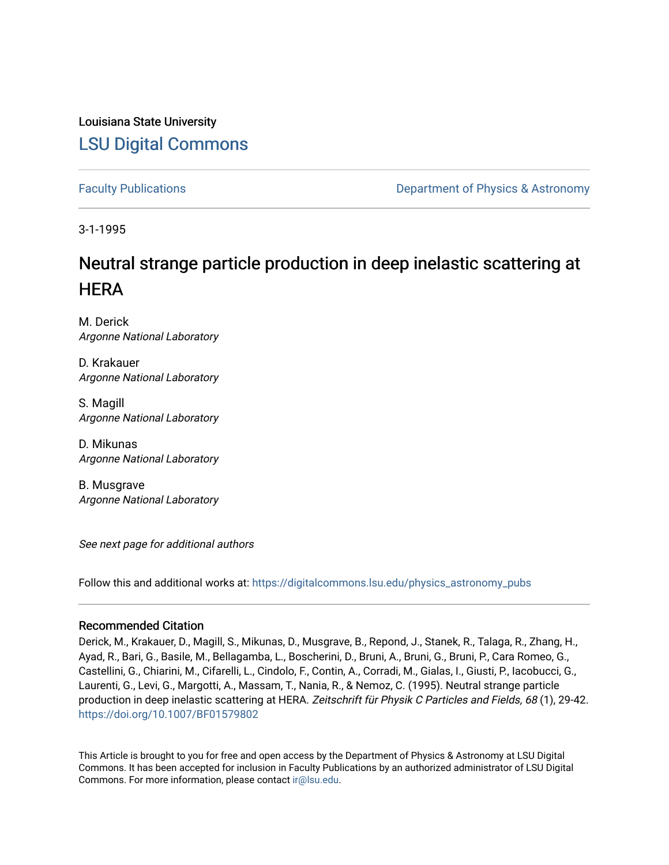Louisiana State University [LSU Digital Commons](https://digitalcommons.lsu.edu/)

[Faculty Publications](https://digitalcommons.lsu.edu/physics_astronomy_pubs) **Example 2** Constant Department of Physics & Astronomy

3-1-1995

## Neutral strange particle production in deep inelastic scattering at **HFRA**

M. Derick Argonne National Laboratory

D. Krakauer Argonne National Laboratory

S. Magill Argonne National Laboratory

D. Mikunas Argonne National Laboratory

B. Musgrave Argonne National Laboratory

See next page for additional authors

Follow this and additional works at: [https://digitalcommons.lsu.edu/physics\\_astronomy\\_pubs](https://digitalcommons.lsu.edu/physics_astronomy_pubs?utm_source=digitalcommons.lsu.edu%2Fphysics_astronomy_pubs%2F3479&utm_medium=PDF&utm_campaign=PDFCoverPages) 

#### Recommended Citation

Derick, M., Krakauer, D., Magill, S., Mikunas, D., Musgrave, B., Repond, J., Stanek, R., Talaga, R., Zhang, H., Ayad, R., Bari, G., Basile, M., Bellagamba, L., Boscherini, D., Bruni, A., Bruni, G., Bruni, P., Cara Romeo, G., Castellini, G., Chiarini, M., Cifarelli, L., Cindolo, F., Contin, A., Corradi, M., Gialas, I., Giusti, P., Iacobucci, G., Laurenti, G., Levi, G., Margotti, A., Massam, T., Nania, R., & Nemoz, C. (1995). Neutral strange particle production in deep inelastic scattering at HERA. Zeitschrift für Physik C Particles and Fields, 68 (1), 29-42. <https://doi.org/10.1007/BF01579802>

This Article is brought to you for free and open access by the Department of Physics & Astronomy at LSU Digital Commons. It has been accepted for inclusion in Faculty Publications by an authorized administrator of LSU Digital Commons. For more information, please contact [ir@lsu.edu](mailto:ir@lsu.edu).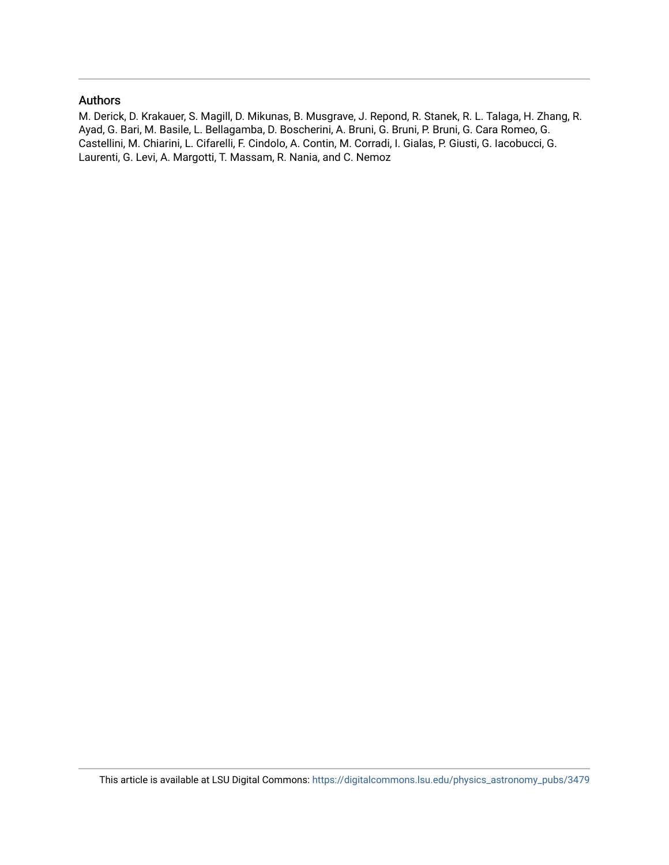#### Authors

M. Derick, D. Krakauer, S. Magill, D. Mikunas, B. Musgrave, J. Repond, R. Stanek, R. L. Talaga, H. Zhang, R. Ayad, G. Bari, M. Basile, L. Bellagamba, D. Boscherini, A. Bruni, G. Bruni, P. Bruni, G. Cara Romeo, G. Castellini, M. Chiarini, L. Cifarelli, F. Cindolo, A. Contin, M. Corradi, I. Gialas, P. Giusti, G. Iacobucci, G. Laurenti, G. Levi, A. Margotti, T. Massam, R. Nania, and C. Nemoz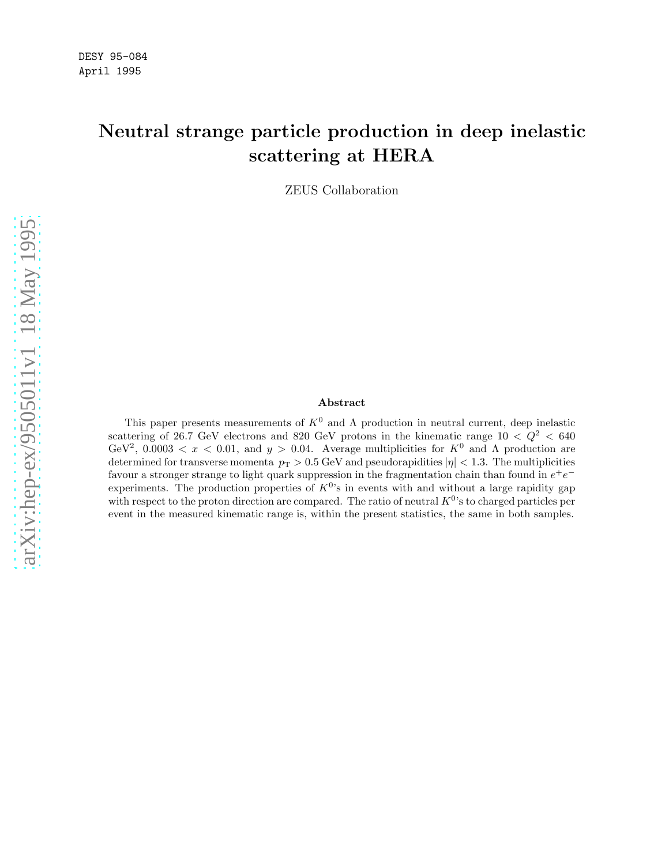## Neutral strange particle production in deep inelastic scattering at HERA

ZEUS Collaboration

#### Abstract

This paper presents measurements of  $K^0$  and  $\Lambda$  production in neutral current, deep inelastic scattering of 26.7 GeV electrons and 820 GeV protons in the kinematic range  $10 < Q^2 < 640$ GeV<sup>2</sup>, 0.0003  $\lt x \lt 0.01$ , and  $y > 0.04$ . Average multiplicities for  $K^0$  and  $\Lambda$  production are determined for transverse momenta  $p_T > 0.5$  GeV and pseudorapidities  $|\eta| < 1.3$ . The multiplicities favour a stronger strange to light quark suppression in the fragmentation chain than found in  $e^+e^$ experiments. The production properties of  $K^0$ 's in events with and without a large rapidity gap with respect to the proton direction are compared. The ratio of neutral  $K^0$ 's to charged particles per event in the measured kinematic range is, within the present statistics, the same in both samples.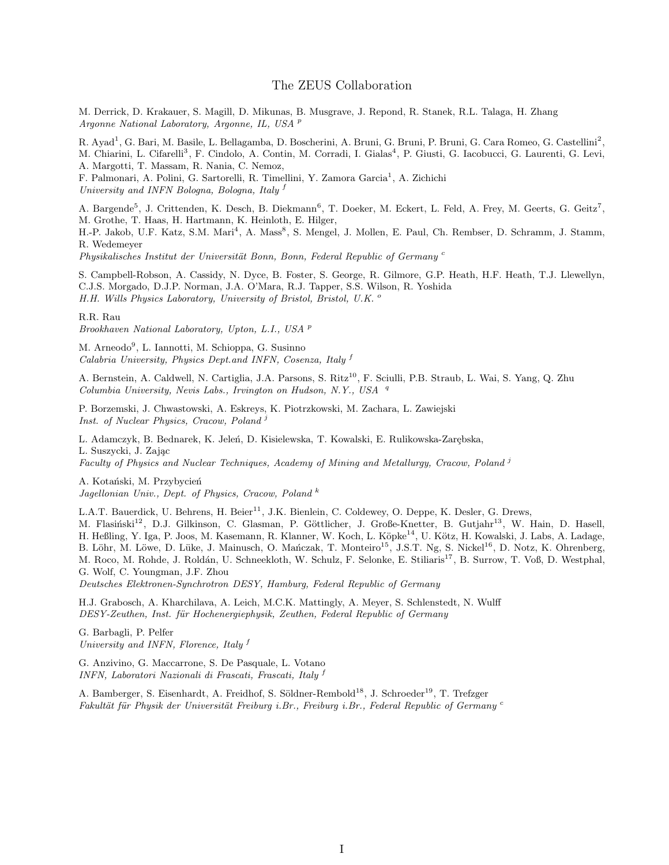#### The ZEUS Collaboration

M. Derrick, D. Krakauer, S. Magill, D. Mikunas, B. Musgrave, J. Repond, R. Stanek, R.L. Talaga, H. Zhang Argonne National Laboratory, Argonne, IL, USA <sup>p</sup>

R. Ayad<sup>1</sup>, G. Bari, M. Basile, L. Bellagamba, D. Boscherini, A. Bruni, G. Bruni, P. Bruni, G. Cara Romeo, G. Castellini<sup>2</sup>,

M. Chiarini, L. Cifarelli<sup>3</sup>, F. Cindolo, A. Contin, M. Corradi, I. Gialas<sup>4</sup>, P. Giusti, G. Iacobucci, G. Laurenti, G. Levi, A. Margotti, T. Massam, R. Nania, C. Nemoz,

F. Palmonari, A. Polini, G. Sartorelli, R. Timellini, Y. Zamora Garcia<sup>1</sup>, A. Zichichi

University and INFN Bologna, Bologna, Italy <sup>f</sup>

A. Bargende<sup>5</sup>, J. Crittenden, K. Desch, B. Diekmann<sup>6</sup>, T. Doeker, M. Eckert, L. Feld, A. Frey, M. Geerts, G. Geitz<sup>7</sup>, M. Grothe, T. Haas, H. Hartmann, K. Heinloth, E. Hilger,

H.-P. Jakob, U.F. Katz, S.M. Mari<sup>4</sup>, A. Mass<sup>8</sup>, S. Mengel, J. Mollen, E. Paul, Ch. Rembser, D. Schramm, J. Stamm, R. Wedemeyer

Physikalisches Institut der Universität Bonn, Bonn, Federal Republic of Germany  $c$ 

S. Campbell-Robson, A. Cassidy, N. Dyce, B. Foster, S. George, R. Gilmore, G.P. Heath, H.F. Heath, T.J. Llewellyn, C.J.S. Morgado, D.J.P. Norman, J.A. O'Mara, R.J. Tapper, S.S. Wilson, R. Yoshida H.H. Wills Physics Laboratory, University of Bristol, Bristol, U.K. <sup>o</sup>

R.R. Rau

Brookhaven National Laboratory, Upton, L.I., USA  $P$ 

M. Arneodo<sup>9</sup>, L. Iannotti, M. Schioppa, G. Susinno Calabria University, Physics Dept.and INFN, Cosenza, Italy f

A. Bernstein, A. Caldwell, N. Cartiglia, J.A. Parsons, S. Ritz<sup>10</sup>, F. Sciulli, P.B. Straub, L. Wai, S. Yang, Q. Zhu Columbia University, Nevis Labs., Irvington on Hudson, N.Y., USA <sup>q</sup>

P. Borzemski, J. Chwastowski, A. Eskreys, K. Piotrzkowski, M. Zachara, L. Zawiejski Inst. of Nuclear Physics, Cracow, Poland<sup>j</sup>

L. Adamczyk, B. Bednarek, K. Jeleń, D. Kisielewska, T. Kowalski, E. Rulikowska-Zarębska, L. Suszycki, J. Zając Faculty of Physics and Nuclear Techniques, Academy of Mining and Metallurgy, Cracow, Poland<sup>j</sup>

A. Kotański, M. Przybycień Jagellonian Univ., Dept. of Physics, Cracow, Poland  $^k$ 

L.A.T. Bauerdick, U. Behrens, H. Beier<sup>11</sup>, J.K. Bienlein, C. Coldewey, O. Deppe, K. Desler, G. Drews,

M. Flasiński<sup>12</sup>, D.J. Gilkinson, C. Glasman, P. Göttlicher, J. Große-Knetter, B. Gutjahr<sup>13</sup>, W. Hain, D. Hasell, H. Heßling, Y. Iga, P. Joos, M. Kasemann, R. Klanner, W. Koch, L. Köpke<sup>14</sup>, U. Kötz, H. Kowalski, J. Labs, A. Ladage, B. Löhr, M. Löwe, D. Lüke, J. Mainusch, O. Mańczak, T. Monteiro<sup>15</sup>, J.S.T. Ng, S. Nickel<sup>16</sup>, D. Notz, K. Ohrenberg, M. Roco, M. Rohde, J. Rold´an, U. Schneekloth, W. Schulz, F. Selonke, E. Stiliaris<sup>17</sup>, B. Surrow, T. Voß, D. Westphal, G. Wolf, C. Youngman, J.F. Zhou Deutsches Elektronen-Synchrotron DESY, Hamburg, Federal Republic of Germany

H.J. Grabosch, A. Kharchilava, A. Leich, M.C.K. Mattingly, A. Meyer, S. Schlenstedt, N. Wulff

DESY-Zeuthen, Inst. für Hochenergiephysik, Zeuthen, Federal Republic of Germany

G. Barbagli, P. Pelfer University and INFN, Florence, Italy  $f$ 

G. Anzivino, G. Maccarrone, S. De Pasquale, L. Votano INFN, Laboratori Nazionali di Frascati, Frascati, Italy f

A. Bamberger, S. Eisenhardt, A. Freidhof, S. Söldner-Rembold<sup>18</sup>, J. Schroeder<sup>19</sup>, T. Trefzger Fakultät für Physik der Universität Freiburg i.Br., Freiburg i.Br., Federal Republic of Germany  $c$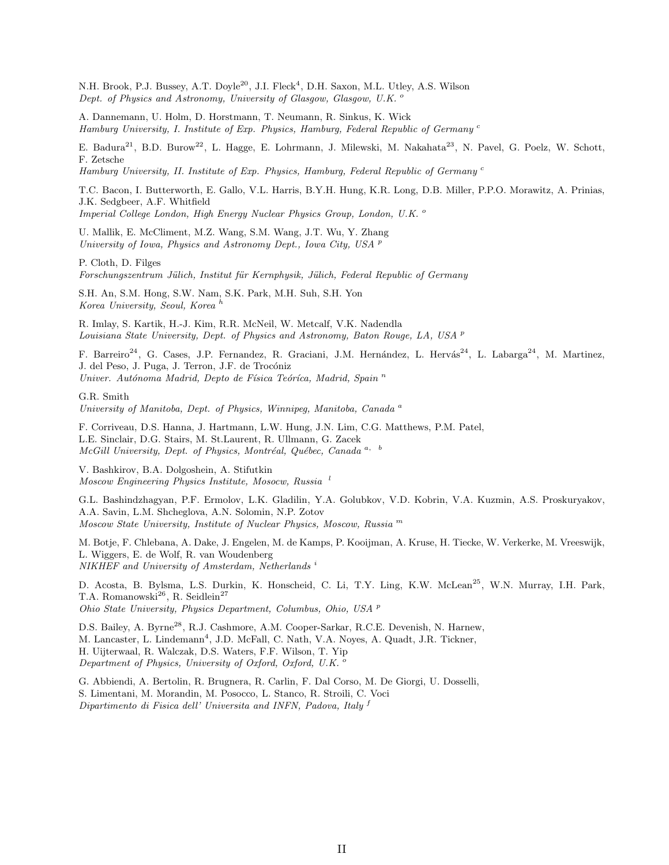N.H. Brook, P.J. Bussey, A.T. Doyle<sup>20</sup>, J.I. Fleck<sup>4</sup>, D.H. Saxon, M.L. Utley, A.S. Wilson Dept. of Physics and Astronomy, University of Glasgow, Glasgow, U.K.

A. Dannemann, U. Holm, D. Horstmann, T. Neumann, R. Sinkus, K. Wick Hamburg University, I. Institute of Exp. Physics, Hamburg, Federal Republic of Germany c

E. Badura<sup>21</sup>, B.D. Burow<sup>22</sup>, L. Hagge, E. Lohrmann, J. Milewski, M. Nakahata<sup>23</sup>, N. Pavel, G. Poelz, W. Schott, F. Zetsche

Hamburg University, II. Institute of Exp. Physics, Hamburg, Federal Republic of Germany  $c$ 

T.C. Bacon, I. Butterworth, E. Gallo, V.L. Harris, B.Y.H. Hung, K.R. Long, D.B. Miller, P.P.O. Morawitz, A. Prinias, J.K. Sedgbeer, A.F. Whitfield

Imperial College London, High Energy Nuclear Physics Group, London, U.K. <sup>o</sup>

U. Mallik, E. McCliment, M.Z. Wang, S.M. Wang, J.T. Wu, Y. Zhang University of Iowa, Physics and Astronomy Dept., Iowa City, USA <sup>p</sup>

P. Cloth, D. Filges Forschungszentrum Jülich, Institut für Kernphysik, Jülich, Federal Republic of Germany

S.H. An, S.M. Hong, S.W. Nam, S.K. Park, M.H. Suh, S.H. Yon Korea University, Seoul, Korea <sup>h</sup>

R. Imlay, S. Kartik, H.-J. Kim, R.R. McNeil, W. Metcalf, V.K. Nadendla Louisiana State University, Dept. of Physics and Astronomy, Baton Rouge, LA, USA  $^p$ 

F. Barreiro<sup>24</sup>, G. Cases, J.P. Fernandez, R. Graciani, J.M. Hernández, L. Hervás<sup>24</sup>, L. Labarga<sup>24</sup>, M. Martinez, J. del Peso, J. Puga, J. Terron, J.F. de Trocóniz Univer. Autónoma Madrid, Depto de Física Teóríca, Madrid, Spain<sup>n</sup>

G.R. Smith University of Manitoba, Dept. of Physics, Winnipeg, Manitoba, Canada <sup>a</sup>

F. Corriveau, D.S. Hanna, J. Hartmann, L.W. Hung, J.N. Lim, C.G. Matthews, P.M. Patel, L.E. Sinclair, D.G. Stairs, M. St.Laurent, R. Ullmann, G. Zacek  $McGill$  University, Dept. of Physics, Montréal, Québec, Canada  $a$ , b

V. Bashkirov, B.A. Dolgoshein, A. Stifutkin Moscow Engineering Physics Institute, Mosocw, Russia <sup>l</sup>

G.L. Bashindzhagyan, P.F. Ermolov, L.K. Gladilin, Y.A. Golubkov, V.D. Kobrin, V.A. Kuzmin, A.S. Proskuryakov, A.A. Savin, L.M. Shcheglova, A.N. Solomin, N.P. Zotov Moscow State University, Institute of Nuclear Physics, Moscow, Russia <sup>m</sup>

M. Botje, F. Chlebana, A. Dake, J. Engelen, M. de Kamps, P. Kooijman, A. Kruse, H. Tiecke, W. Verkerke, M. Vreeswijk, L. Wiggers, E. de Wolf, R. van Woudenberg NIKHEF and University of Amsterdam, Netherlands<sup>i</sup>

D. Acosta, B. Bylsma, L.S. Durkin, K. Honscheid, C. Li, T.Y. Ling, K.W. McLean<sup>25</sup>, W.N. Murray, I.H. Park, T.A. Romanowski<sup>26</sup>, R. Seidlein<sup>27</sup> Ohio State University, Physics Department, Columbus, Ohio, USA <sup>p</sup>

D.S. Bailey, A. Byrne<sup>28</sup>, R.J. Cashmore, A.M. Cooper-Sarkar, R.C.E. Devenish, N. Harnew, M. Lancaster, L. Lindemann<sup>4</sup>, J.D. McFall, C. Nath, V.A. Noyes, A. Quadt, J.R. Tickner, H. Uijterwaal, R. Walczak, D.S. Waters, F.F. Wilson, T. Yip Department of Physics, University of Oxford, Oxford, U.K.

G. Abbiendi, A. Bertolin, R. Brugnera, R. Carlin, F. Dal Corso, M. De Giorgi, U. Dosselli, S. Limentani, M. Morandin, M. Posocco, L. Stanco, R. Stroili, C. Voci Dipartimento di Fisica dell' Universita and INFN, Padova, Italy <sup>f</sup>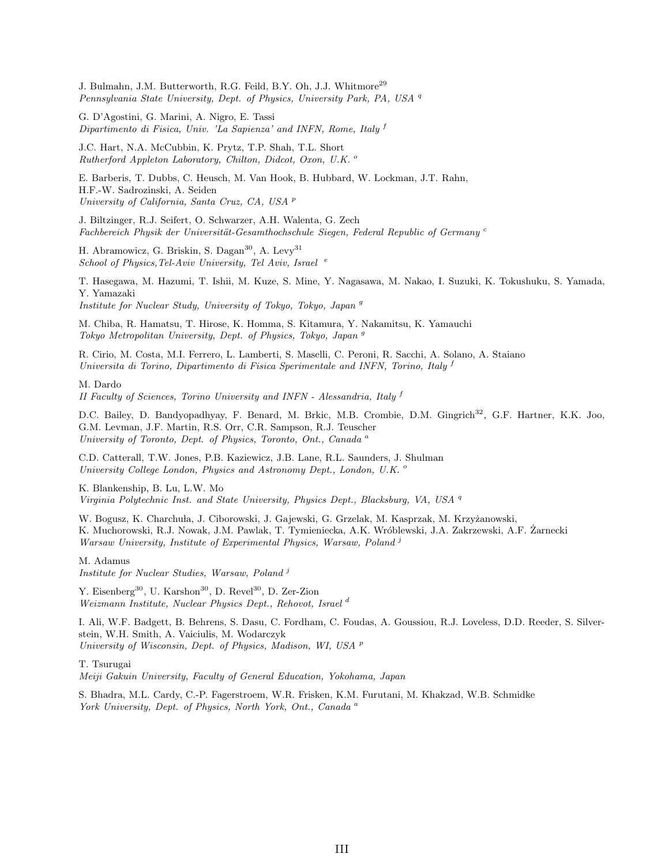J. Bulmahn, J.M. Butterworth, R.G. Feild, B.Y. Oh, J.J. Whitmore<sup>29</sup> Pennsylvania State University, Dept. of Physics, University Park, PA, USA <sup>q</sup>

G. D'Agostini, G. Marini, A. Nigro, E. Tassi Dipartimento di Fisica, Univ. 'La Sapienza' and INFN, Rome, Italy <sup>f</sup>

J.C. Hart, N.A. McCubbin, K. Prytz, T.P. Shah, T.L. Short Rutherford Appleton Laboratory, Chilton, Didcot, Oxon, U.K. <sup>o</sup>

E. Barberis, T. Dubbs, C. Heusch, M. Van Hook, B. Hubbard, W. Lockman, J.T. Rahn, H.F.-W. Sadrozinski, A. Seiden University of California, Santa Cruz, CA, USA <sup>p</sup>

J. Biltzinger, R.J. Seifert, O. Schwarzer, A.H. Walenta, G. Zech Fachbereich Physik der Universität-Gesamthochschule Siegen, Federal Republic of Germany<sup>c</sup>

H. Abramowicz, G. Briskin, S. Dagan<sup>30</sup>, A. Levy<sup>31</sup> School of Physics, Tel-Aviv University, Tel Aviv, Israel

T. Hasegawa, M. Hazumi, T. Ishii, M. Kuze, S. Mine, Y. Nagasawa, M. Nakao, I. Suzuki, K. Tokushuku, S. Yamada, Y. Yamazaki

Institute for Nuclear Study, University of Tokyo, Tokyo, Japan <sup>g</sup>

M. Chiba, R. Hamatsu, T. Hirose, K. Homma, S. Kitamura, Y. Nakamitsu, K. Yamauchi Tokyo Metropolitan University, Dept. of Physics, Tokyo, Japan <sup>g</sup>

R. Cirio, M. Costa, M.I. Ferrero, L. Lamberti, S. Maselli, C. Peroni, R. Sacchi, A. Solano, A. Staiano Universita di Torino, Dipartimento di Fisica Sperimentale and INFN, Torino, Italy <sup>f</sup>

M. Dardo II Faculty of Sciences, Torino University and INFN - Alessandria, Italy  $f$ 

D.C. Bailey, D. Bandyopadhyay, F. Benard, M. Brkic, M.B. Crombie, D.M. Gingrich<sup>32</sup>, G.F. Hartner, K.K. Joo, G.M. Levman, J.F. Martin, R.S. Orr, C.R. Sampson, R.J. Teuscher University of Toronto, Dept. of Physics, Toronto, Ont., Canada<sup>a</sup>

C.D. Catterall, T.W. Jones, P.B. Kaziewicz, J.B. Lane, R.L. Saunders, J. Shulman University College London, Physics and Astronomy Dept., London, U.K.<sup>o</sup>

K. Blankenship, B. Lu, L.W. Mo

Virginia Polytechnic Inst. and State University, Physics Dept., Blacksburg, VA, USA <sup>q</sup>

W. Bogusz, K. Charchuła, J. Ciborowski, J. Gajewski, G. Grzelak, M. Kasprzak, M. Krzyżanowski, K. Muchorowski, R.J. Nowak, J.M. Pawlak, T. Tymieniecka, A.K. Wróblewski, J.A. Zakrzewski, A.F. Zarnecki Warsaw University, Institute of Experimental Physics, Warsaw, Poland<sup>j</sup>

M. Adamus Institute for Nuclear Studies, Warsaw, Poland <sup>j</sup>

Y. Eisenberg<sup>30</sup>, U. Karshon<sup>30</sup>, D. Revel<sup>30</sup>, D. Zer-Zion Weizmann Institute, Nuclear Physics Dept., Rehovot, Israel d

I. Ali, W.F. Badgett, B. Behrens, S. Dasu, C. Fordham, C. Foudas, A. Goussiou, R.J. Loveless, D.D. Reeder, S. Silverstein, W.H. Smith, A. Vaiciulis, M. Wodarczyk University of Wisconsin, Dept. of Physics, Madison, WI, USA <sup>p</sup>

T. Tsurugai

Meiji Gakuin University, Faculty of General Education, Yokohama, Japan

S. Bhadra, M.L. Cardy, C.-P. Fagerstroem, W.R. Frisken, K.M. Furutani, M. Khakzad, W.B. Schmidke York University, Dept. of Physics, North York, Ont., Canada<sup>a</sup>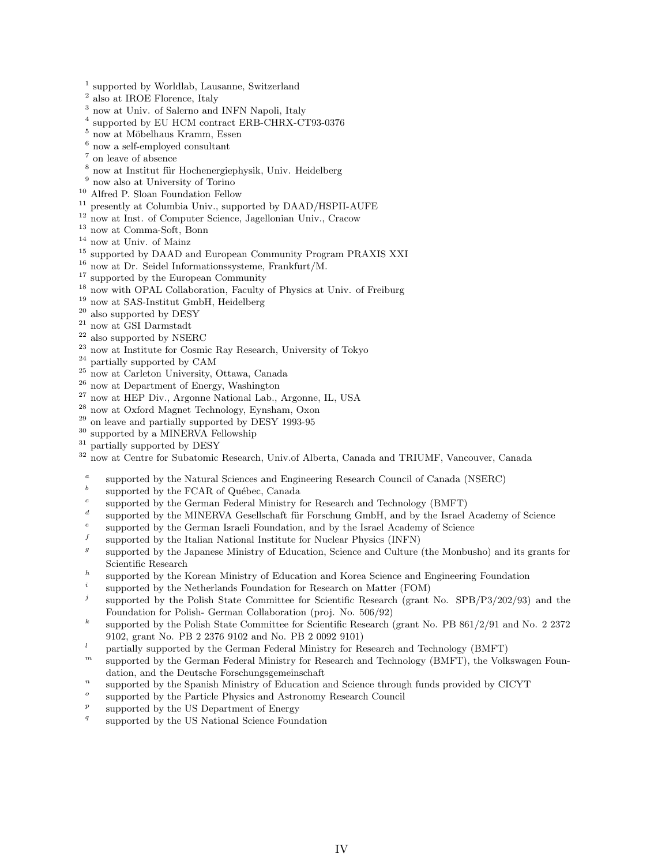- 1 supported by Worldlab, Lausanne, Switzerland
- <sup>2</sup> also at IROE Florence, Italy
- <sup>3</sup> now at Univ. of Salerno and INFN Napoli, Italy
- 4 supported by EU HCM contract ERB-CHRX-CT93-0376
- $5$  now at Möbelhaus Kramm, Essen
- $6$  now a self-employed consultant
- 7 on leave of absence
- $8$  now at Institut für Hochenergiephysik, Univ. Heidelberg
- $^9$  now also at University of Torino  $\,$
- <sup>10</sup> Alfred P. Sloan Foundation Fellow
- <sup>11</sup> presently at Columbia Univ., supported by DAAD/HSPII-AUFE
- <sup>12</sup> now at Inst. of Computer Science, Jagellonian Univ., Cracow
- <sup>13</sup> now at Comma-Soft, Bonn
- <sup>14</sup> now at Univ. of Mainz
- <sup>15</sup> supported by DAAD and European Community Program PRAXIS XXI
- <sup>16</sup> now at Dr. Seidel Informationssysteme, Frankfurt/M.
- <sup>17</sup> supported by the European Community
- <sup>18</sup> now with OPAL Collaboration, Faculty of Physics at Univ. of Freiburg
- <sup>19</sup> now at SAS-Institut GmbH, Heidelberg
- <sup>20</sup> also supported by DESY
- $^{\mathrm{21}}$  now at GSI Darmstadt
- <sup>22</sup> also supported by NSERC
- $^{23}$  now at Institute for Cosmic Ray Research, University of Tokyo
- <sup>24</sup> partially supported by CAM
- <sup>25</sup> now at Carleton University, Ottawa, Canada
- <sup>26</sup> now at Department of Energy, Washington
- <sup>27</sup> now at HEP Div., Argonne National Lab., Argonne, IL, USA
- <sup>28</sup> now at Oxford Magnet Technology, Eynsham, Oxon
- <sup>29</sup> on leave and partially supported by DESY 1993-95
- <sup>30</sup> supported by a MINERVA Fellowship
- $31$  partially supported by DESY

<sup>32</sup> now at Centre for Subatomic Research, Univ.of Alberta, Canada and TRIUMF, Vancouver, Canada

- a supported by the Natural Sciences and Engineering Research Council of Canada (NSERC)
- $\boldsymbol{b}$ supported by the FCAR of Québec, Canada
- c supported by the German Federal Ministry for Research and Technology (BMFT)
- d supported by the MINERVA Gesellschaft für Forschung GmbH, and by the Israel Academy of Science
- e supported by the German Israeli Foundation, and by the Israel Academy of Science
- f supported by the Italian National Institute for Nuclear Physics (INFN)
- g supported by the Japanese Ministry of Education, Science and Culture (the Monbusho) and its grants for Scientific Research
- h supported by the Korean Ministry of Education and Korea Science and Engineering Foundation
- i supported by the Netherlands Foundation for Research on Matter (FOM)
- $\boldsymbol{j}$ supported by the Polish State Committee for Scientific Research (grant No. SPB/P3/202/93) and the Foundation for Polish- German Collaboration (proj. No. 506/92)
- k supported by the Polish State Committee for Scientific Research (grant No. PB 861/2/91 and No. 2 2372 9102, grant No. PB 2 2376 9102 and No. PB 2 0092 9101)
- l partially supported by the German Federal Ministry for Research and Technology (BMFT)
- $m$  supported by the German Federal Ministry for Research and Technology (BMFT), the Volkswagen Foundation, and the Deutsche Forschungsgemeinschaft
- n supported by the Spanish Ministry of Education and Science through funds provided by CICYT
- o supported by the Particle Physics and Astronomy Research Council
- p supported by the US Department of Energy
- q supported by the US National Science Foundation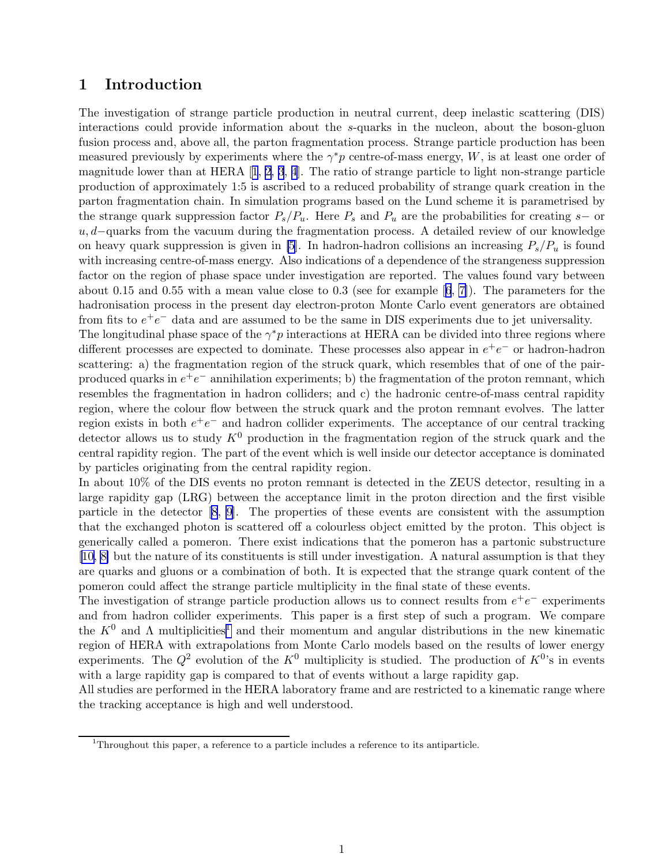### 1 Introduction

The investigation of strange particle production in neutral current, deep inelastic scattering (DIS) interactions could provide information about the s-quarks in the nucleon, about the boson-gluon fusion process and, above all, the parton fragmentation process. Strange particle production has been measured previously by experiments where the  $\gamma^*p$  centre-of-mass energy, W, is at least one order of magnitude lower than at HERA[[1](#page-19-0), [2](#page-19-0), [3](#page-19-0), [4](#page-19-0)]. The ratio of strange particle to light non-strange particle production of approximately 1:5 is ascribed to a reduced probability of strange quark creation in the parton fragmentation chain. In simulation programs based on the Lund scheme it is parametrised by the strange quark suppression factor  $P_s/P_u$ . Here  $P_s$  and  $P_u$  are the probabilities for creating s– or  $u, d$ –quarks from the vacuum during the fragmentation process. A detailed review of our knowledge on heavy quark suppression is given in [\[5\]](#page-19-0). In hadron-hadron collisions an increasing  $P_s/P_u$  is found with increasing centre-of-mass energy. Also indications of a dependence of the strangeness suppression factor on the region of phase space under investigation are reported. The values found vary between about 0.15 and 0.55 with a mean value close to 0.3 (see for example[[6](#page-19-0), [7\]](#page-19-0)). The parameters for the hadronisation process in the present day electron-proton Monte Carlo event generators are obtained from fits to  $e^+e^-$  data and are assumed to be the same in DIS experiments due to jet universality.

The longitudinal phase space of the  $\gamma^*p$  interactions at HERA can be divided into three regions where different processes are expected to dominate. These processes also appear in  $e^+e^-$  or hadron-hadron scattering: a) the fragmentation region of the struck quark, which resembles that of one of the pairproduced quarks in  $e^+e^-$  annihilation experiments; b) the fragmentation of the proton remnant, which resembles the fragmentation in hadron colliders; and c) the hadronic centre-of-mass central rapidity region, where the colour flow between the struck quark and the proton remnant evolves. The latter region exists in both  $e^+e^-$  and hadron collider experiments. The acceptance of our central tracking detector allows us to study  $K^0$  production in the fragmentation region of the struck quark and the central rapidity region. The part of the event which is well inside our detector acceptance is dominated by particles originating from the central rapidity region.

In about 10% of the DIS events no proton remnant is detected in the ZEUS detector, resulting in a large rapidity gap (LRG) between the acceptance limit in the proton direction and the first visible particle in the detector[[8](#page-19-0), [9\]](#page-19-0). The properties of these events are consistent with the assumption that the exchanged photon is scattered off a colourless object emitted by the proton. This object is generically called a pomeron. There exist indications that the pomeron has a partonic substructure [\[10, 8\]](#page-19-0) but the nature of its constituents is still under investigation. A natural assumption is that they are quarks and gluons or a combination of both. It is expected that the strange quark content of the pomeron could affect the strange particle multiplicity in the final state of these events.

The investigation of strange particle production allows us to connect results from  $e^+e^-$  experiments and from hadron collider experiments. This paper is a first step of such a program. We compare the  $K^0$  and  $\Lambda$  multiplicities<sup>1</sup> and their momentum and angular distributions in the new kinematic region of HERA with extrapolations from Monte Carlo models based on the results of lower energy experiments. The  $Q^2$  evolution of the  $K^0$  multiplicity is studied. The production of  $K^0$ 's in events with a large rapidity gap is compared to that of events without a large rapidity gap.

All studies are performed in the HERA laboratory frame and are restricted to a kinematic range where the tracking acceptance is high and well understood.

<sup>&</sup>lt;sup>1</sup>Throughout this paper, a reference to a particle includes a reference to its antiparticle.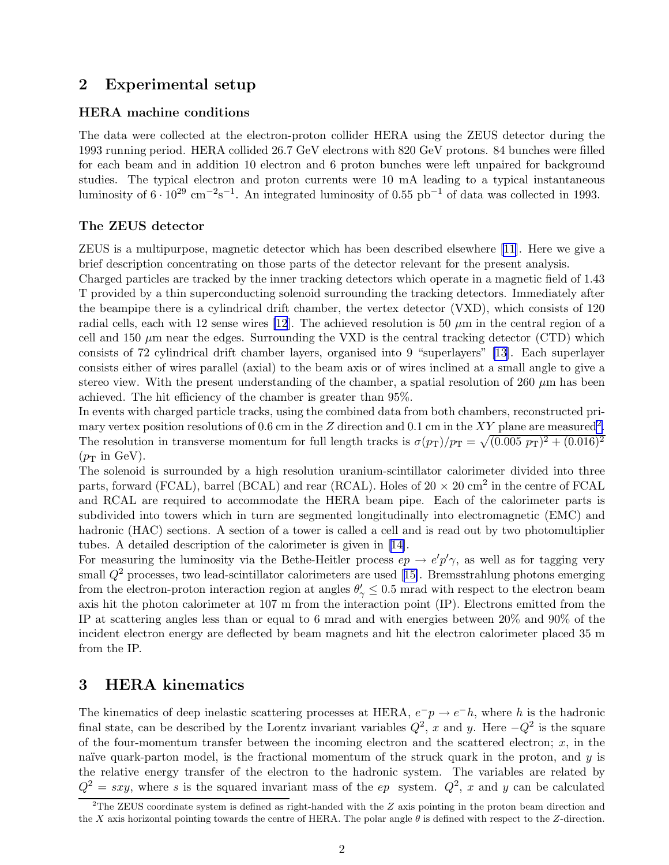## 2 Experimental setup

#### HERA machine conditions

The data were collected at the electron-proton collider HERA using the ZEUS detector during the 1993 running period. HERA collided 26.7 GeV electrons with 820 GeV protons. 84 bunches were filled for each beam and in addition 10 electron and 6 proton bunches were left unpaired for background studies. The typical electron and proton currents were 10 mA leading to a typical instantaneous luminosity of  $6 \cdot 10^{29}$  cm<sup>-2</sup>s<sup>-1</sup>. An integrated luminosity of 0.55 pb<sup>-1</sup> of data was collected in 1993.

#### The ZEUS detector

ZEUS is a multipurpose, magnetic detector which has been described elsewhere [\[11\]](#page-19-0). Here we give a brief description concentrating on those parts of the detector relevant for the present analysis.

Charged particles are tracked by the inner tracking detectors which operate in a magnetic field of 1.43 T provided by a thin superconducting solenoid surrounding the tracking detectors. Immediately after the beampipe there is a cylindrical drift chamber, the vertex detector (VXD), which consists of 120 radial cells, each with 12 sense wires [\[12](#page-19-0)]. The achieved resolution is 50  $\mu$ m in the central region of a cell and 150  $\mu$ m near the edges. Surrounding the VXD is the central tracking detector (CTD) which consists of 72 cylindrical drift chamber layers, organised into 9 "superlayers" [\[13](#page-19-0)]. Each superlayer consists either of wires parallel (axial) to the beam axis or of wires inclined at a small angle to give a stereo view. With the present understanding of the chamber, a spatial resolution of  $260 \mu m$  has been achieved. The hit efficiency of the chamber is greater than 95%.

In events with charged particle tracks, using the combined data from both chambers, reconstructed primary vertex position resolutions of 0.6 cm in the Z direction and 0.1 cm in the XY plane are measured<sup>2</sup>. The resolution in transverse momentum for full length tracks is  $\sigma(p_T)/p_T = \sqrt{(0.005 \ p_T)^2 + (0.016)^2}$  $(p_T$  in GeV).

The solenoid is surrounded by a high resolution uranium-scintillator calorimeter divided into three parts, forward (FCAL), barrel (BCAL) and rear (RCAL). Holes of  $20 \times 20$  cm<sup>2</sup> in the centre of FCAL and RCAL are required to accommodate the HERA beam pipe. Each of the calorimeter parts is subdivided into towers which in turn are segmented longitudinally into electromagnetic (EMC) and hadronic (HAC) sections. A section of a tower is called a cell and is read out by two photomultiplier tubes. A detailed description of the calorimeter is given in [[14\]](#page-19-0).

For measuring the luminosity via the Bethe-Heitler process  $ep \rightarrow e'p' \gamma$ , as well as for tagging very small $Q^2$  processes, two lead-scintillator calorimeters are used [[15\]](#page-20-0). Bremsstrahlung photons emerging from the electron-proton interaction region at angles  $\theta'_{\gamma} \leq 0.5$  mrad with respect to the electron beam axis hit the photon calorimeter at 107 m from the interaction point (IP). Electrons emitted from the IP at scattering angles less than or equal to 6 mrad and with energies between 20% and 90% of the incident electron energy are deflected by beam magnets and hit the electron calorimeter placed 35 m from the IP.

## 3 HERA kinematics

The kinematics of deep inelastic scattering processes at HERA,  $e^-p \rightarrow e^-h$ , where h is the hadronic final state, can be described by the Lorentz invariant variables  $Q^2$ , x and y. Here  $-Q^2$  is the square of the four-momentum transfer between the incoming electron and the scattered electron;  $x$ , in the naïve quark-parton model, is the fractional momentum of the struck quark in the proton, and  $y$  is the relative energy transfer of the electron to the hadronic system. The variables are related by  $Q^2 = sxy$ , where s is the squared invariant mass of the ep system.  $Q^2$ , x and y can be calculated

 $2$ The ZEUS coordinate system is defined as right-handed with the Z axis pointing in the proton beam direction and the X axis horizontal pointing towards the centre of HERA. The polar angle  $\theta$  is defined with respect to the Z-direction.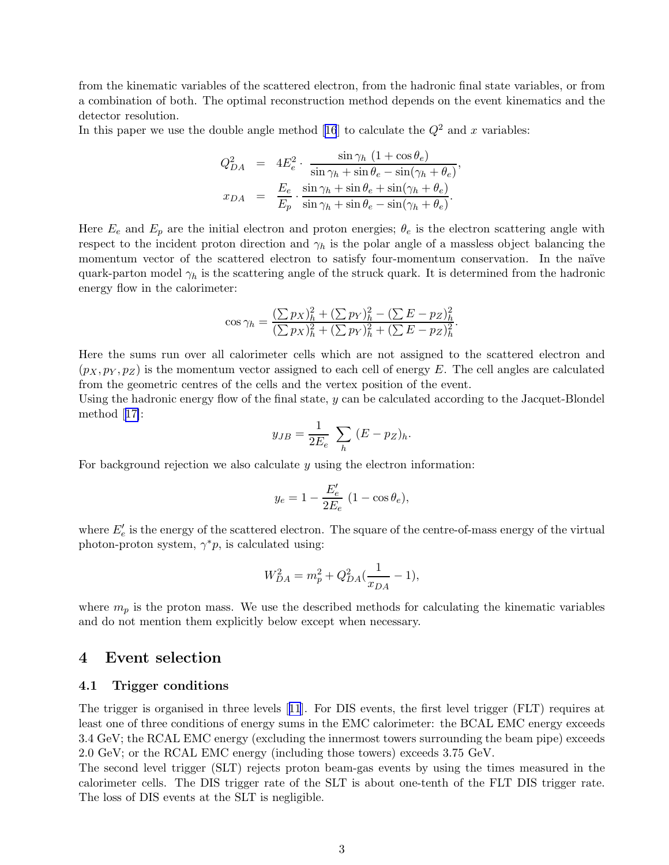from the kinematic variables of the scattered electron, from the hadronic final state variables, or from a combination of both. The optimal reconstruction method depends on the event kinematics and the detector resolution.

Inthis paper we use the double angle method [[16](#page-20-0)] to calculate the  $Q^2$  and x variables:

$$
Q_{DA}^2 = 4E_e^2 \cdot \frac{\sin \gamma_h (1 + \cos \theta_e)}{\sin \gamma_h + \sin \theta_e - \sin(\gamma_h + \theta_e)},
$$
  

$$
x_{DA} = \frac{E_e}{E_p} \cdot \frac{\sin \gamma_h + \sin \theta_e + \sin(\gamma_h + \theta_e)}{\sin \gamma_h + \sin \theta_e - \sin(\gamma_h + \theta_e)}.
$$

Here  $E_e$  and  $E_p$  are the initial electron and proton energies;  $\theta_e$  is the electron scattering angle with respect to the incident proton direction and  $\gamma_h$  is the polar angle of a massless object balancing the momentum vector of the scattered electron to satisfy four-momentum conservation. In the naïve quark-parton model  $\gamma_h$  is the scattering angle of the struck quark. It is determined from the hadronic energy flow in the calorimeter:

$$
\cos \gamma_h = \frac{(\sum px)_h^2 + (\sum py)_h^2 - (\sum E - pz)_h^2}{(\sum px)_h^2 + (\sum py)_h^2 + (\sum E - pz)_h^2}.
$$

Here the sums run over all calorimeter cells which are not assigned to the scattered electron and  $(p_X, p_Y, p_Z)$  is the momentum vector assigned to each cell of energy E. The cell angles are calculated from the geometric centres of the cells and the vertex position of the event.

Using the hadronic energy flow of the final state, y can be calculated according to the Jacquet-Blondel method[[17\]](#page-20-0):

$$
y_{JB} = \frac{1}{2E_e} \sum_h (E - pz)_{h}.
$$

For background rejection we also calculate  $y$  using the electron information:

$$
y_e=1-\frac{E_e'}{2E_e}\,\,(1-\cos\theta_e),
$$

where  $E'_{e}$  is the energy of the scattered electron. The square of the centre-of-mass energy of the virtual photon-proton system,  $\gamma^* p$ , is calculated using:

$$
W_{DA}^2 = m_p^2 + Q_{DA}^2(\frac{1}{x_{DA}} - 1),
$$

where  $m_p$  is the proton mass. We use the described methods for calculating the kinematic variables and do not mention them explicitly below except when necessary.

### 4 Event selection

#### 4.1 Trigger conditions

The trigger is organised in three levels[[11](#page-19-0)]. For DIS events, the first level trigger (FLT) requires at least one of three conditions of energy sums in the EMC calorimeter: the BCAL EMC energy exceeds 3.4 GeV; the RCAL EMC energy (excluding the innermost towers surrounding the beam pipe) exceeds 2.0 GeV; or the RCAL EMC energy (including those towers) exceeds 3.75 GeV.

The second level trigger (SLT) rejects proton beam-gas events by using the times measured in the calorimeter cells. The DIS trigger rate of the SLT is about one-tenth of the FLT DIS trigger rate. The loss of DIS events at the SLT is negligible.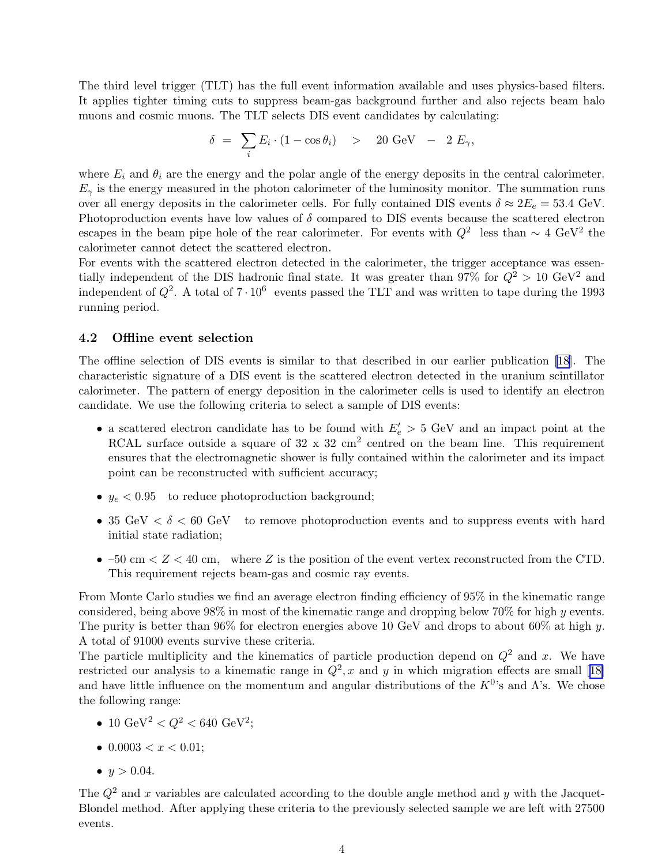The third level trigger (TLT) has the full event information available and uses physics-based filters. It applies tighter timing cuts to suppress beam-gas background further and also rejects beam halo muons and cosmic muons. The TLT selects DIS event candidates by calculating:

$$
\delta = \sum_i E_i \cdot (1 - \cos \theta_i) > 20 \text{ GeV} - 2 E_{\gamma},
$$

where  $E_i$  and  $\theta_i$  are the energy and the polar angle of the energy deposits in the central calorimeter.  $E_{\gamma}$  is the energy measured in the photon calorimeter of the luminosity monitor. The summation runs over all energy deposits in the calorimeter cells. For fully contained DIS events  $\delta \approx 2E_e = 53.4$  GeV. Photoproduction events have low values of  $\delta$  compared to DIS events because the scattered electron escapes in the beam pipe hole of the rear calorimeter. For events with  $Q^2$  less than ~ 4 GeV<sup>2</sup> the calorimeter cannot detect the scattered electron.

For events with the scattered electron detected in the calorimeter, the trigger acceptance was essentially independent of the DIS hadronic final state. It was greater than 97% for  $Q^2 > 10 \text{ GeV}^2$  and independent of  $Q^2$ . A total of  $7 \cdot 10^6$  events passed the TLT and was written to tape during the 1993 running period.

#### 4.2 Offline event selection

The offline selection of DIS events is similar to that described in our earlier publication [\[18](#page-20-0)]. The characteristic signature of a DIS event is the scattered electron detected in the uranium scintillator calorimeter. The pattern of energy deposition in the calorimeter cells is used to identify an electron candidate. We use the following criteria to select a sample of DIS events:

- a scattered electron candidate has to be found with  $E'_e > 5$  GeV and an impact point at the RCAL surface outside a square of  $32 \times 32$  cm<sup>2</sup> centred on the beam line. This requirement ensures that the electromagnetic shower is fully contained within the calorimeter and its impact point can be reconstructed with sufficient accuracy;
- $y_e < 0.95$  to reduce photoproduction background;
- 35 GeV  $\lt \delta \lt 60$  GeV to remove photoproduction events and to suppress events with hard initial state radiation;
- $-50 \text{ cm} < Z < 40 \text{ cm}$ , where Z is the position of the event vertex reconstructed from the CTD. This requirement rejects beam-gas and cosmic ray events.

From Monte Carlo studies we find an average electron finding efficiency of 95% in the kinematic range considered, being above 98% in most of the kinematic range and dropping below 70% for high y events. The purity is better than  $96\%$  for electron energies above 10 GeV and drops to about 60% at high y. A total of 91000 events survive these criteria.

The particle multiplicity and the kinematics of particle production depend on  $Q^2$  and x. We have restrictedour analysis to a kinematic range in  $Q^2$ , x and y in which migration effects are small [[18\]](#page-20-0) and have little influence on the momentum and angular distributions of the  $K^0$ 's and  $\Lambda$ 's. We chose the following range:

- 10  $\text{GeV}^2 < Q^2 < 640 \text{ GeV}^2$ ;
- $0.0003 < x < 0.01$ ;
- $y > 0.04$ .

The  $Q^2$  and x variables are calculated according to the double angle method and y with the Jacquet-Blondel method. After applying these criteria to the previously selected sample we are left with 27500 events.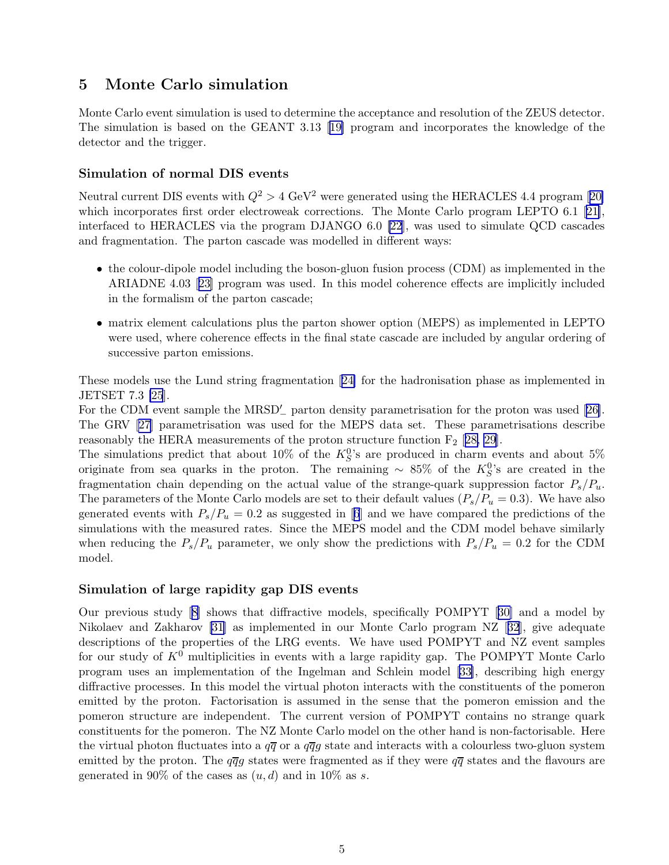## 5 Monte Carlo simulation

Monte Carlo event simulation is used to determine the acceptance and resolution of the ZEUS detector. The simulation is based on the GEANT 3.13[[19\]](#page-20-0) program and incorporates the knowledge of the detector and the trigger.

#### Simulation of normal DIS events

Neutralcurrent DIS events with  $Q^2 > 4 \text{ GeV}^2$  were generated using the HERACLES 4.4 program [[20\]](#page-20-0) whichincorporates first order electroweak corrections. The Monte Carlo program LEPTO 6.1 [[21\]](#page-20-0), interfaced to HERACLES via the program DJANGO 6.0 [\[22](#page-20-0)], was used to simulate QCD cascades and fragmentation. The parton cascade was modelled in different ways:

- the colour-dipole model including the boson-gluon fusion process (CDM) as implemented in the ARIADNE 4.03[[23\]](#page-20-0) program was used. In this model coherence effects are implicitly included in the formalism of the parton cascade;
- matrix element calculations plus the parton shower option (MEPS) as implemented in LEPTO were used, where coherence effects in the final state cascade are included by angular ordering of successive parton emissions.

These models use the Lund string fragmentation[[24\]](#page-20-0) for the hadronisation phase as implemented in JETSET 7.3 [\[25](#page-20-0)].

Forthe CDM event sample the MRSD' parton density parametrisation for the proton was used [[26\]](#page-20-0). The GRV[[27\]](#page-20-0) parametrisation was used for the MEPS data set. These parametrisations describe reasonably the HERA measurements of the proton structure function  $F_2$  [[28, 29](#page-20-0)].

The simulations predict that about 10% of the  $K_S^0$ 's are produced in charm events and about 5% originate from sea quarks in the proton. The remaining ~ 85% of the  $K_S^0$ 's are created in the fragmentation chain depending on the actual value of the strange-quark suppression factor  $P_s/P_u$ . The parameters of the Monte Carlo models are set to their default values  $(P_s/P_u = 0.3)$ . We have also generatedevents with  $P_s/P_u = 0.2$  as suggested in [[6](#page-19-0)] and we have compared the predictions of the simulations with the measured rates. Since the MEPS model and the CDM model behave similarly when reducing the  $P_s/P_u$  parameter, we only show the predictions with  $P_s/P_u = 0.2$  for the CDM model.

## Simulation of large rapidity gap DIS events

Our previous study[[8\]](#page-19-0) shows that diffractive models, specifically POMPYT[[30\]](#page-20-0) and a model by Nikolaev and Zakharov[[31\]](#page-20-0) as implemented in our Monte Carlo program NZ[[32](#page-20-0)], give adequate descriptions of the properties of the LRG events. We have used POMPYT and NZ event samples for our study of  $K^0$  multiplicities in events with a large rapidity gap. The POMPYT Monte Carlo program uses an implementation of the Ingelman and Schlein model[[33\]](#page-20-0), describing high energy diffractive processes. In this model the virtual photon interacts with the constituents of the pomeron emitted by the proton. Factorisation is assumed in the sense that the pomeron emission and the pomeron structure are independent. The current version of POMPYT contains no strange quark constituents for the pomeron. The NZ Monte Carlo model on the other hand is non-factorisable. Here the virtual photon fluctuates into a  $q\bar{q}$  or a  $q\bar{q}g$  state and interacts with a colourless two-gluon system emitted by the proton. The  $q\overline{q}g$  states were fragmented as if they were  $q\overline{q}$  states and the flavours are generated in 90% of the cases as  $(u, d)$  and in 10% as s.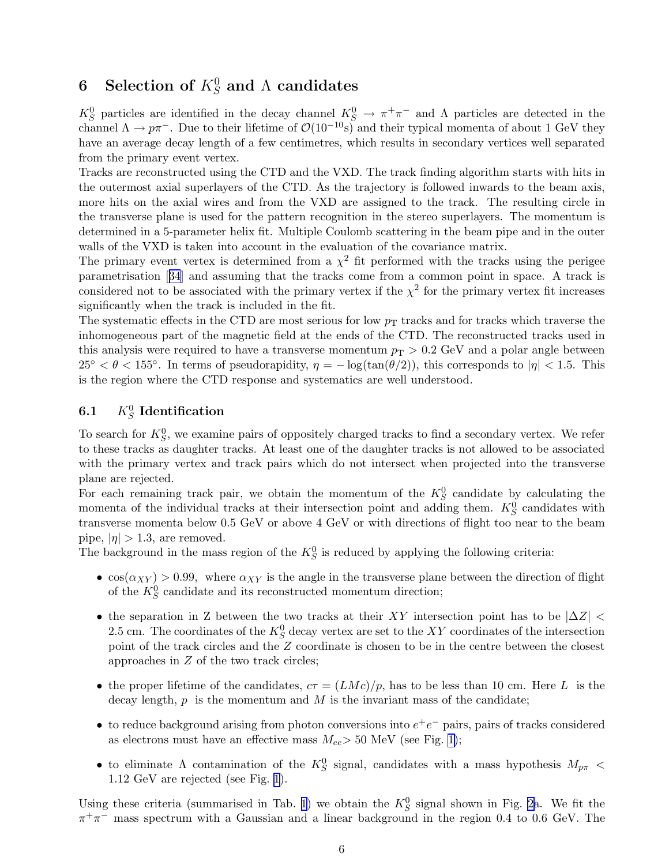## 6 Selection of  $K^0_S$  and  $\Lambda$  candidates

 $K_S^0$  particles are identified in the decay channel  $K_S^0 \to \pi^+\pi^-$  and  $\Lambda$  particles are detected in the channel  $\Lambda \to p\pi^-$ . Due to their lifetime of  $\mathcal{O}(10^{-10}$ s) and their typical momenta of about 1 GeV they have an average decay length of a few centimetres, which results in secondary vertices well separated from the primary event vertex.

Tracks are reconstructed using the CTD and the VXD. The track finding algorithm starts with hits in the outermost axial superlayers of the CTD. As the trajectory is followed inwards to the beam axis, more hits on the axial wires and from the VXD are assigned to the track. The resulting circle in the transverse plane is used for the pattern recognition in the stereo superlayers. The momentum is determined in a 5-parameter helix fit. Multiple Coulomb scattering in the beam pipe and in the outer walls of the VXD is taken into account in the evaluation of the covariance matrix.

The primary event vertex is determined from a  $\chi^2$  fit performed with the tracks using the perigee parametrisation[[34](#page-20-0)] and assuming that the tracks come from a common point in space. A track is considered not to be associated with the primary vertex if the  $\chi^2$  for the primary vertex fit increases significantly when the track is included in the fit.

The systematic effects in the CTD are most serious for low  $p<sub>T</sub>$  tracks and for tracks which traverse the inhomogeneous part of the magnetic field at the ends of the CTD. The reconstructed tracks used in this analysis were required to have a transverse momentum  $p_T > 0.2$  GeV and a polar angle between  $25^{\circ} < \theta < 155^{\circ}$ . In terms of pseudorapidity,  $\eta = -\log(\tan(\theta/2))$ , this corresponds to  $|\eta| < 1.5$ . This is the region where the CTD response and systematics are well understood.

## 6.1  $K_S^0$  Identification

To search for  $K_S^0$ , we examine pairs of oppositely charged tracks to find a secondary vertex. We refer to these tracks as daughter tracks. At least one of the daughter tracks is not allowed to be associated with the primary vertex and track pairs which do not intersect when projected into the transverse plane are rejected.

For each remaining track pair, we obtain the momentum of the  $K_S^0$  candidate by calculating the momenta of the individual tracks at their intersection point and adding them.  $K_S^0$  candidates with transverse momenta below 0.5 GeV or above 4 GeV or with directions of flight too near to the beam pipe,  $|\eta| > 1.3$ , are removed.

The background in the mass region of the  $K_S^0$  is reduced by applying the following criteria:

- $\cos(\alpha_{XY}) > 0.99$ , where  $\alpha_{XY}$  is the angle in the transverse plane between the direction of flight of the  $K_S^0$  candidate and its reconstructed momentum direction;
- the separation in Z between the two tracks at their XY intersection point has to be  $|\Delta Z|$ 2.5 cm. The coordinates of the  $K_S^0$  decay vertex are set to the XY coordinates of the intersection point of the track circles and the Z coordinate is chosen to be in the centre between the closest approaches in Z of the two track circles;
- the proper lifetime of the candidates,  $c\tau = (LMc)/p$ , has to be less than 10 cm. Here L is the decay length,  $p$  is the momentum and  $M$  is the invariant mass of the candidate;
- to reduce background arising from photon conversions into  $e^+e^-$  pairs, pairs of tracks considered as electrons must have an effective mass  $M_{ee} > 50$  MeV (see Fig. [1\)](#page-21-0);
- to eliminate  $\Lambda$  contamination of the  $K_S^0$  signal, candidates with a mass hypothesis  $M_{p\pi}$  < 1.12 GeV are rejected (see Fig. [1](#page-21-0)).

Using these criteria (summarised in Tab. [1\)](#page-13-0) we obtain the  $K_S^0$  signal shown in Fig. [2a](#page-22-0). We fit the  $\pi^{+}\pi^{-}$  mass spectrum with a Gaussian and a linear background in the region 0.4 to 0.6 GeV. The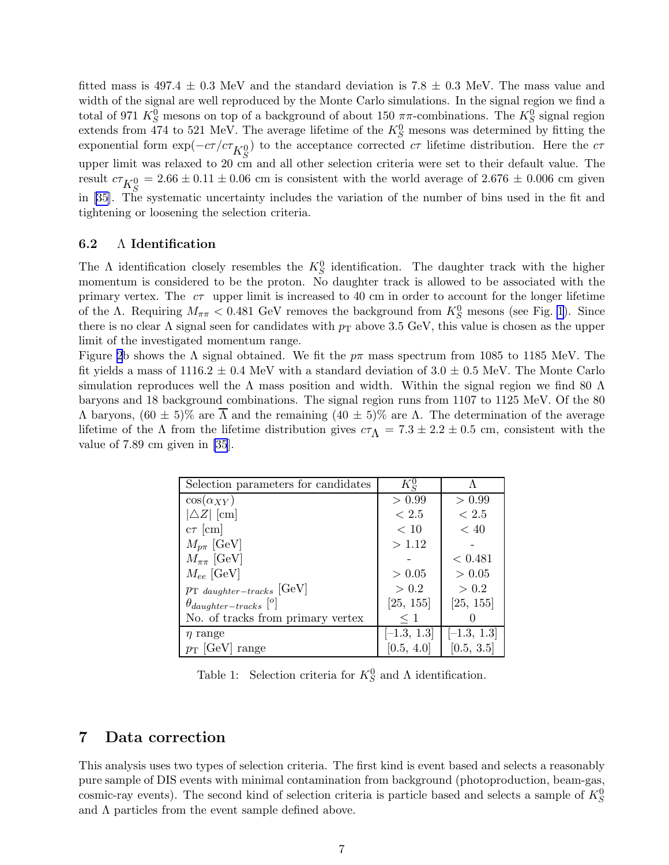<span id="page-13-0"></span>fitted mass is 497.4  $\pm$  0.3 MeV and the standard deviation is 7.8  $\pm$  0.3 MeV. The mass value and width of the signal are well reproduced by the Monte Carlo simulations. In the signal region we find a total of 971  $K_S^0$  mesons on top of a background of about 150  $\pi\pi$ -combinations. The  $K_S^0$  signal region extends from 474 to 521 MeV. The average lifetime of the  $K_S^0$  mesons was determined by fitting the exponential form  $\exp(-c\tau/c\tau_{K^0_S})$  to the acceptance corrected  $c\tau$  lifetime distribution. Here the  $c\tau$ upper limit was relaxed to 20 cm and all other selection criteria were set to their default value. The result  $c\tau_{K^0_S} = 2.66 \pm 0.11 \pm 0.06$  cm is consistent with the world average of  $2.676 \pm 0.006$  cm given  $\frac{K_S}{10}$  in [\[35](#page-20-0)]. The systematic uncertainty includes the variation of the number of bins used in the fit and tightening or loosening the selection criteria.

#### 6.2 Λ Identification

The  $\Lambda$  identification closely resembles the  $K_S^0$  identification. The daughter track with the higher momentum is considered to be the proton. No daughter track is allowed to be associated with the primary vertex. The  $c\tau$  upper limit is increased to 40 cm in order to account for the longer lifetime of the  $\Lambda$ . Requiring  $M_{\pi\pi} < 0.481$  GeV removes the background from  $K_S^0$  mesons (see Fig. [1\)](#page-21-0). Since there is no clear  $\Lambda$  signal seen for candidates with  $p_T$  above 3.5 GeV, this value is chosen as the upper limit of the investigated momentum range.

Figure [2](#page-22-0)b shows the  $\Lambda$  signal obtained. We fit the  $p\pi$  mass spectrum from 1085 to 1185 MeV. The fit yields a mass of  $1116.2 \pm 0.4$  MeV with a standard deviation of  $3.0 \pm 0.5$  MeV. The Monte Carlo simulation reproduces well the  $\Lambda$  mass position and width. Within the signal region we find 80  $\Lambda$ baryons and 18 background combinations. The signal region runs from 1107 to 1125 MeV. Of the 80 Λ baryons,  $(60 \pm 5)\%$  are  $\overline{\Lambda}$  and the remaining  $(40 \pm 5)\%$  are Λ. The determination of the average lifetime of the Λ from the lifetime distribution gives  $c\tau_\Lambda = 7.3 \pm 2.2 \pm 0.5$  cm, consistent with the value of 7.89 cm given in [\[35](#page-20-0)].

| Selection parameters for candidates          | Κg            |               |
|----------------------------------------------|---------------|---------------|
| $\cos(\alpha_{XY})$                          | > 0.99        | > 0.99        |
| $ \triangle Z $ [cm]                         | < 2.5         | < 2.5         |
| $c\tau$ [cm]                                 | < 10          | ~< 40         |
| $M_{p\pi}$ [GeV]                             | >1.12         |               |
| $M_{\pi\pi}$ [GeV]                           |               | < 0.481       |
| $M_{ee}$ [GeV]                               | > 0.05        | > 0.05        |
| $p_{\text{T} \text{ daughter}-tracks}$ [GeV] | > 0.2         | > 0.2         |
| $\theta_{daughter-tracks}$ <sup>[o]</sup>    | [25, 155]     | [25, 155]     |
| No. of tracks from primary vertex            | $\leq 1$      |               |
| $\eta$ range                                 | $[-1.3, 1.3]$ | $[-1.3, 1.3]$ |
| $p_T$ [GeV] range                            | [0.5, 4.0]    | [0.5, 3.5]    |

Table 1: Selection criteria for  $K_S^0$  and  $\Lambda$  identification.

## 7 Data correction

This analysis uses two types of selection criteria. The first kind is event based and selects a reasonably pure sample of DIS events with minimal contamination from background (photoproduction, beam-gas, cosmic-ray events). The second kind of selection criteria is particle based and selects a sample of  $K_S^0$ and  $\Lambda$  particles from the event sample defined above.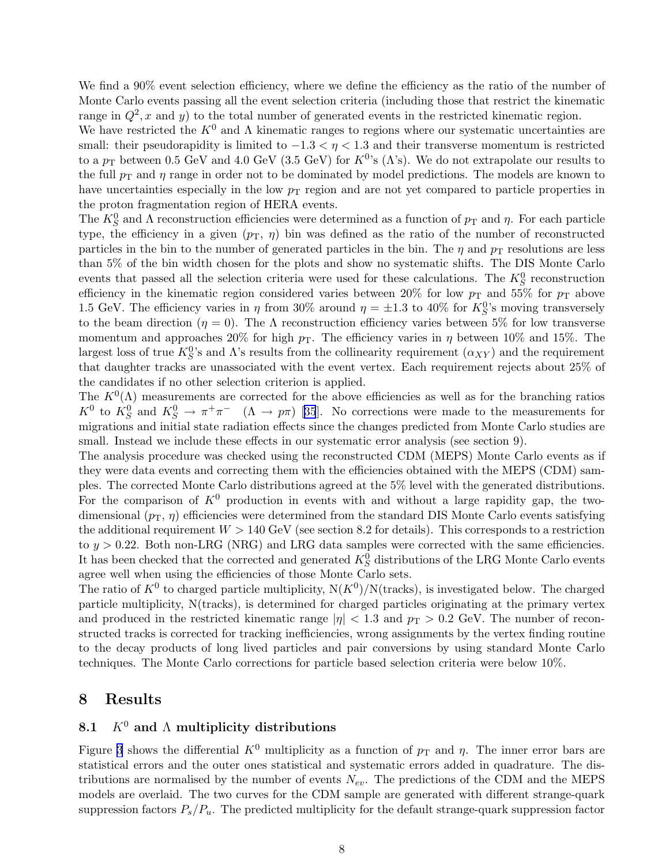We find a 90% event selection efficiency, where we define the efficiency as the ratio of the number of Monte Carlo events passing all the event selection criteria (including those that restrict the kinematic range in  $Q^2$ , x and y) to the total number of generated events in the restricted kinematic region.

We have restricted the  $K^0$  and  $\Lambda$  kinematic ranges to regions where our systematic uncertainties are small: their pseudorapidity is limited to  $-1.3 < \eta < 1.3$  and their transverse momentum is restricted to a  $p_{\rm T}$  between 0.5 GeV and 4.0 GeV (3.5 GeV) for  $K^0$ 's ( $\Lambda$ 's). We do not extrapolate our results to the full  $p_T$  and  $\eta$  range in order not to be dominated by model predictions. The models are known to have uncertainties especially in the low  $p<sub>T</sub>$  region and are not yet compared to particle properties in the proton fragmentation region of HERA events.

The  $K_S^0$  and  $\Lambda$  reconstruction efficiencies were determined as a function of  $p_T$  and  $\eta$ . For each particle type, the efficiency in a given  $(p_T, \eta)$  bin was defined as the ratio of the number of reconstructed particles in the bin to the number of generated particles in the bin. The  $\eta$  and  $p_T$  resolutions are less than 5% of the bin width chosen for the plots and show no systematic shifts. The DIS Monte Carlo events that passed all the selection criteria were used for these calculations. The  $K_S^0$  reconstruction efficiency in the kinematic region considered varies between 20% for low  $p_T$  and 55% for  $p_T$  above 1.5 GeV. The efficiency varies in  $\eta$  from 30% around  $\eta = \pm 1.3$  to 40% for  $K_S^0$ 's moving transversely to the beam direction ( $\eta = 0$ ). The  $\Lambda$  reconstruction efficiency varies between 5% for low transverse momentum and approaches 20% for high  $p<sub>T</sub>$ . The efficiency varies in  $\eta$  between 10% and 15%. The largest loss of true  $K_S^0$ 's and  $\Lambda$ 's results from the collinearity requirement  $(\alpha_{XY})$  and the requirement that daughter tracks are unassociated with the event vertex. Each requirement rejects about 25% of the candidates if no other selection criterion is applied.

The  $K^0(\Lambda)$  measurements are corrected for the above efficiencies as well as for the branching ratios  $K^0$ to  $K^0_S$  and  $K^0_S \to \pi^+\pi^ (\Lambda \to p\pi)$  [[35](#page-20-0)]. No corrections were made to the measurements for migrations and initial state radiation effects since the changes predicted from Monte Carlo studies are small. Instead we include these effects in our systematic error analysis (see section 9).

The analysis procedure was checked using the reconstructed CDM (MEPS) Monte Carlo events as if they were data events and correcting them with the efficiencies obtained with the MEPS (CDM) samples. The corrected Monte Carlo distributions agreed at the 5% level with the generated distributions. For the comparison of  $K^0$  production in events with and without a large rapidity gap, the twodimensional  $(p_T, \eta)$  efficiencies were determined from the standard DIS Monte Carlo events satisfying the additional requirement  $W > 140$  GeV (see section 8.2 for details). This corresponds to a restriction to  $y > 0.22$ . Both non-LRG (NRG) and LRG data samples were corrected with the same efficiencies. It has been checked that the corrected and generated  $K^0_S$  distributions of the LRG Monte Carlo events agree well when using the efficiencies of those Monte Carlo sets.

The ratio of  $K^0$  to charged particle multiplicity,  $N(K^0)/N$  (tracks), is investigated below. The charged particle multiplicity, N(tracks), is determined for charged particles originating at the primary vertex and produced in the restricted kinematic range  $|\eta| < 1.3$  and  $p_T > 0.2$  GeV. The number of reconstructed tracks is corrected for tracking inefficiencies, wrong assignments by the vertex finding routine to the decay products of long lived particles and pair conversions by using standard Monte Carlo techniques. The Monte Carlo corrections for particle based selection criteria were below 10%.

## 8 Results

### 8.1  $K^0$  and  $\Lambda$  multiplicity distributions

Figure [3](#page-23-0) shows the differential  $K^0$  multiplicity as a function of  $p_T$  and  $\eta$ . The inner error bars are statistical errors and the outer ones statistical and systematic errors added in quadrature. The distributions are normalised by the number of events  $N_{ev}$ . The predictions of the CDM and the MEPS models are overlaid. The two curves for the CDM sample are generated with different strange-quark suppression factors  $P_s/P_u$ . The predicted multiplicity for the default strange-quark suppression factor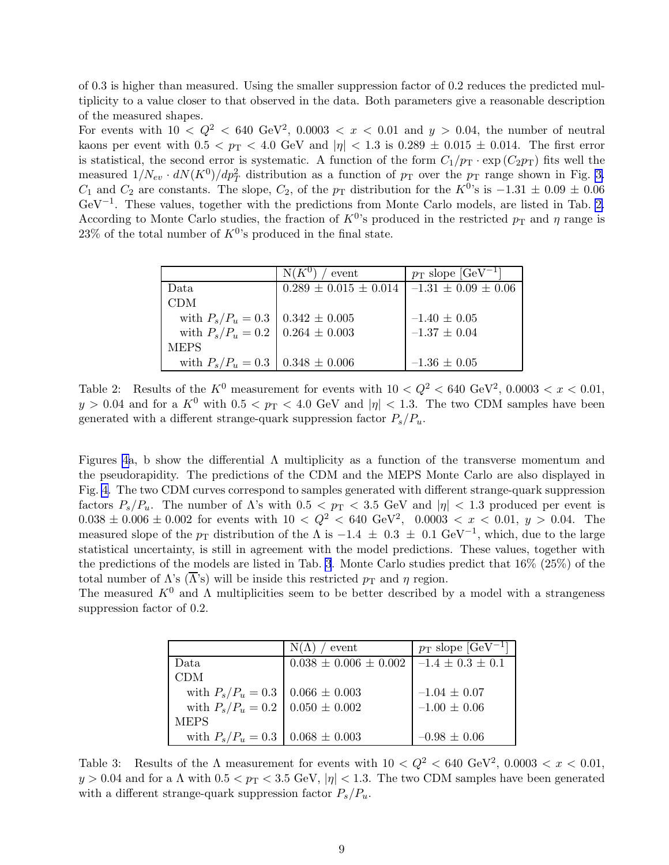of 0.3 is higher than measured. Using the smaller suppression factor of 0.2 reduces the predicted multiplicity to a value closer to that observed in the data. Both parameters give a reasonable description of the measured shapes.

For events with  $10 < Q^2 < 640 \text{ GeV}^2$ ,  $0.0003 < x < 0.01$  and  $y > 0.04$ , the number of neutral kaons per event with  $0.5 < p_T < 4.0$  GeV and  $|\eta| < 1.3$  is  $0.289 \pm 0.015 \pm 0.014$ . The first error is statistical, the second error is systematic. A function of the form  $C_1/p_T \cdot \exp(C_2p_T)$  fits well the measured  $1/N_{ev} \cdot dN(K^0)/dp_T^2$  distribution as a function of  $p_T$  over the  $p_T$  range shown in Fig. [3.](#page-23-0)  $C_1$  and  $C_2$  are constants. The slope,  $C_2$ , of the  $p_T$  distribution for the  $K^0$ 's is  $-1.31 \pm 0.09 \pm 0.06$ GeV−<sup>1</sup> . These values, together with the predictions from Monte Carlo models, are listed in Tab. 2. According to Monte Carlo studies, the fraction of  $K^0$ 's produced in the restricted  $p_T$  and  $\eta$  range is 23% of the total number of  $K^0$ 's produced in the final state.

|                                           | $N(K^0)$<br>event           | $p_T$ slope $[GeV^{-1}]$  |
|-------------------------------------------|-----------------------------|---------------------------|
| Data                                      | $0.289 \pm 0.015 \pm 0.014$ | $-1.31 \pm 0.09 \pm 0.06$ |
| <b>CDM</b>                                |                             |                           |
| with $P_s/P_u = 0.3$                      | $0.342 \pm 0.005$           | $-1.40 \pm 0.05$          |
| with $P_s/P_u = 0.2$   0.264 ± 0.003      |                             | $-1.37\,\pm\,0.04$        |
| <b>MEPS</b>                               |                             |                           |
| with $P_s/P_u = 0.3 \mid 0.348 \pm 0.006$ |                             | $-1.36 \pm 0.05$          |

Table 2: Results of the  $K^0$  measurement for events with  $10 < Q^2 < 640 \text{ GeV}^2$ ,  $0.0003 < x < 0.01$ ,  $y > 0.04$  and for a  $K^0$  with  $0.5 < p_T < 4.0$  GeV and  $|\eta| < 1.3$ . The two CDM samples have been generated with a different strange-quark suppression factor  $P_s/P_u$ .

Figures [4a](#page-24-0), b show the differential  $\Lambda$  multiplicity as a function of the transverse momentum and the pseudorapidity. The predictions of the CDM and the MEPS Monte Carlo are also displayed in Fig. [4.](#page-24-0) The two CDM curves correspond to samples generated with different strange-quark suppression factors  $P_s/P_u$ . The number of  $\Lambda$ 's with  $0.5 < p_T < 3.5$  GeV and  $|\eta| < 1.3$  produced per event is  $0.038 \pm 0.006 \pm 0.002$  for events with  $10 < Q^2 < 640 \text{ GeV}^2$ ,  $0.0003 < x < 0.01$ ,  $y > 0.04$ . The measured slope of the  $p_T$  distribution of the  $\Lambda$  is  $-1.4 \pm 0.3 \pm 0.1$  GeV<sup>-1</sup>, which, due to the large statistical uncertainty, is still in agreement with the model predictions. These values, together with the predictions of the models are listed in Tab. 3. Monte Carlo studies predict that 16% (25%) of the total number of  $\Lambda$ 's  $(\overline{\Lambda}$ 's) will be inside this restricted  $p_T$  and  $\eta$  region.

The measured  $K^0$  and  $\Lambda$  multiplicities seem to be better described by a model with a strangeness suppression factor of 0.2.

|                                              | event<br>$N(\Lambda)$       | $p_{\rm T}$ slope $[\text{GeV}^{-1}]$ |
|----------------------------------------------|-----------------------------|---------------------------------------|
| Data                                         | $0.038 \pm 0.006 \pm 0.002$ | $-1.4 \pm 0.3 \pm 0.1$                |
| CDM                                          |                             |                                       |
| with $P_s/P_u = 0.3 \,   \, 0.066 \pm 0.003$ |                             | $-1.04 \pm 0.07$                      |
| with $P_s/P_u = 0.2 \mid 0.050 \pm 0.002$    |                             | $-1.00 \pm 0.06$                      |
| <b>MEPS</b>                                  |                             |                                       |
| with $P_s/P_u = 0.3 \mid 0.068 \pm 0.003$    |                             | $-0.98 \pm 0.06$                      |

Table 3: Results of the  $\Lambda$  measurement for events with  $10 < Q^2 < 640 \text{ GeV}^2$ ,  $0.0003 < x < 0.01$ ,  $y > 0.04$  and for a  $\Lambda$  with  $0.5 < p_T < 3.5$  GeV,  $|\eta| < 1.3$ . The two CDM samples have been generated with a different strange-quark suppression factor  $P_s/P_u$ .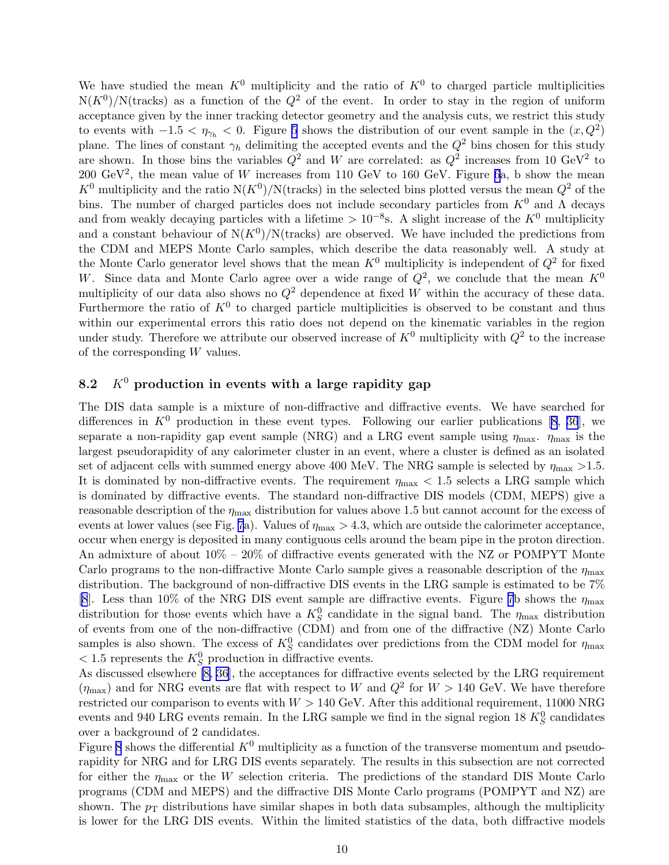We have studied the mean  $K^0$  multiplicity and the ratio of  $K^0$  to charged particle multiplicities  $N(K^0)/N$ (tracks) as a function of the  $Q^2$  of the event. In order to stay in the region of uniform acceptance given by the inner tracking detector geometry and the analysis cuts, we restrict this study to events with  $-1.5 < \eta_{\gamma_h} < 0$ . Figure [5](#page-25-0) shows the distribution of our event sample in the  $(x, Q^2)$ plane. The lines of constant  $\gamma_h$  delimiting the accepted events and the  $Q^2$  bins chosen for this study are shown. In those bins the variables  $Q^2$  and W are correlated: as  $Q^2$  increases from 10 GeV<sup>2</sup> to 200 GeV<sup>2</sup>, the mean value of W increases from 110 GeV to 160 GeV. Figure [6a](#page-26-0), b show the mean  $K^0$  multiplicity and the ratio  $N(K^0)/N$ (tracks) in the selected bins plotted versus the mean  $Q^2$  of the bins. The number of charged particles does not include secondary particles from  $K^0$  and  $\Lambda$  decays and from weakly decaying particles with a lifetime  $> 10^{-8}$ s. A slight increase of the  $K^0$  multiplicity and a constant behaviour of  $N(K^0)/N$ (tracks) are observed. We have included the predictions from the CDM and MEPS Monte Carlo samples, which describe the data reasonably well. A study at the Monte Carlo generator level shows that the mean  $K^0$  multiplicity is independent of  $Q^2$  for fixed W. Since data and Monte Carlo agree over a wide range of  $Q^2$ , we conclude that the mean  $K^0$ multiplicity of our data also shows no  $Q^2$  dependence at fixed W within the accuracy of these data. Furthermore the ratio of  $K^0$  to charged particle multiplicities is observed to be constant and thus within our experimental errors this ratio does not depend on the kinematic variables in the region under study. Therefore we attribute our observed increase of  $K^0$  multiplicity with  $Q^2$  to the increase of the corresponding W values.

## 8.2  $K^0$  production in events with a large rapidity gap

The DIS data sample is a mixture of non-diffractive and diffractive events. We have searched for differencesin  $K^0$  production in these event types. Following our earlier publications [[8](#page-19-0), [36](#page-20-0)], we separate a non-rapidity gap event sample (NRG) and a LRG event sample using  $\eta_{\text{max}}$ .  $\eta_{\text{max}}$  is the largest pseudorapidity of any calorimeter cluster in an event, where a cluster is defined as an isolated set of adjacent cells with summed energy above 400 MeV. The NRG sample is selected by  $\eta_{\text{max}} > 1.5$ . It is dominated by non-diffractive events. The requirement  $\eta_{\text{max}} < 1.5$  selects a LRG sample which is dominated by diffractive events. The standard non-diffractive DIS models (CDM, MEPS) give a reasonable description of the  $\eta_{\text{max}}$  distribution for values above 1.5 but cannot account for the excess of events at lower values (see Fig. [7](#page-27-0)a). Values of  $\eta_{\text{max}} > 4.3$ , which are outside the calorimeter acceptance, occur when energy is deposited in many contiguous cells around the beam pipe in the proton direction. An admixture of about 10% – 20% of diffractive events generated with the NZ or POMPYT Monte Carlo programs to the non-diffractive Monte Carlo sample gives a reasonable description of the  $\eta_{\text{max}}$ distribution. The background of non-diffractive DIS events in the LRG sample is estimated to be 7% [\[8](#page-19-0)]. Less than 10% of the NRG DIS event sample are diffractive events. Figure [7](#page-27-0)b shows the  $\eta_{\text{max}}$ distribution for those events which have a  $K_S^0$  candidate in the signal band. The  $\eta_{\text{max}}$  distribution of events from one of the non-diffractive (CDM) and from one of the diffractive (NZ) Monte Carlo samples is also shown. The excess of  $K_S^0$  candidates over predictions from the CDM model for  $\eta_{\text{max}}$ < 1.5 represents the  $K_S^0$  production in diffractive events.

As discussed elsewhere [\[8,](#page-19-0) [36](#page-20-0)], the acceptances for diffractive events selected by the LRG requirement  $(\eta_{\text{max}})$  and for NRG events are flat with respect to W and  $Q^2$  for  $W > 140$  GeV. We have therefore restricted our comparison to events with  $W > 140$  GeV. After this additional requirement, 11000 NRG events and 940 LRG events remain. In the LRG sample we find in the signal region 18  $K_S^0$  candidates over a background of 2 candidates.

Figure [8](#page-28-0) shows the differential  $K^0$  multiplicity as a function of the transverse momentum and pseudorapidity for NRG and for LRG DIS events separately. The results in this subsection are not corrected for either the  $\eta_{\text{max}}$  or the W selection criteria. The predictions of the standard DIS Monte Carlo programs (CDM and MEPS) and the diffractive DIS Monte Carlo programs (POMPYT and NZ) are shown. The  $p_T$  distributions have similar shapes in both data subsamples, although the multiplicity is lower for the LRG DIS events. Within the limited statistics of the data, both diffractive models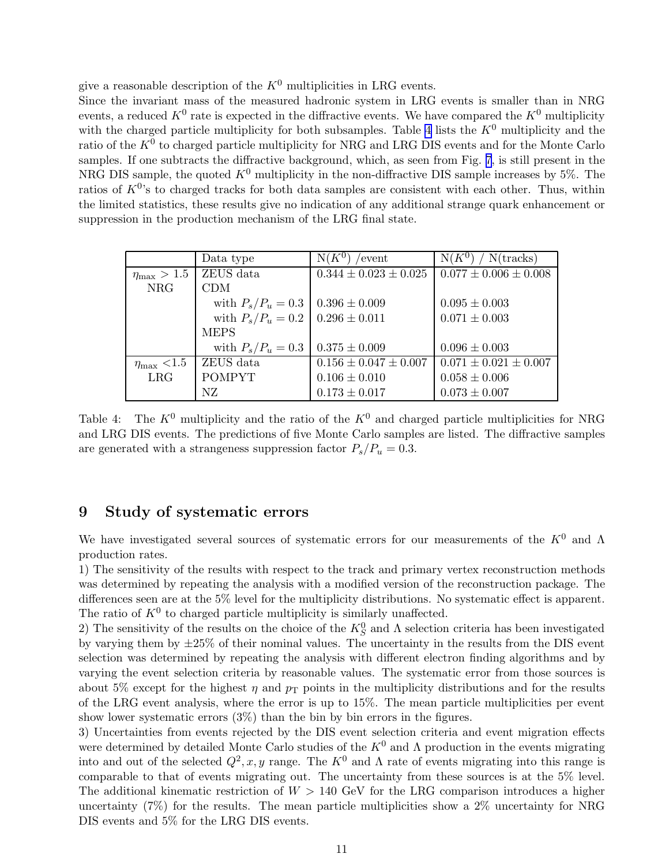give a reasonable description of the  $K^0$  multiplicities in LRG events.

Since the invariant mass of the measured hadronic system in LRG events is smaller than in NRG events, a reduced  $K^0$  rate is expected in the diffractive events. We have compared the  $K^0$  multiplicity with the charged particle multiplicity for both subsamples. Table 4 lists the  $K^0$  multiplicity and the ratio of the  $K^0$  to charged particle multiplicity for NRG and LRG DIS events and for the Monte Carlo samples. If one subtracts the diffractive background, which, as seen from Fig. [7](#page-27-0), is still present in the NRG DIS sample, the quoted  $K^0$  multiplicity in the non-diffractive DIS sample increases by 5%. The ratios of  $K^{0}$ 's to charged tracks for both data samples are consistent with each other. Thus, within the limited statistics, these results give no indication of any additional strange quark enhancement or suppression in the production mechanism of the LRG final state.

|                        | Data type            | ${\rm N}(K^0$<br>'event     | N(tracks)                   |
|------------------------|----------------------|-----------------------------|-----------------------------|
| $\eta_{\rm max} > 1.5$ | ZEUS data            | $0.344 \pm 0.023 \pm 0.025$ | $0.077 \pm 0.006 \pm 0.008$ |
| <b>NRG</b>             | <b>CDM</b>           |                             |                             |
|                        | with $P_s/P_u = 0.3$ | $0.396 \pm 0.009$           | $0.095 \pm 0.003$           |
|                        | with $P_s/P_u = 0.2$ | $0.296 \pm 0.011$           | $0.071 \pm 0.003$           |
|                        | <b>MEPS</b>          |                             |                             |
|                        | with $P_s/P_u = 0.3$ | $0.375 \pm 0.009$           | $0.096 \pm 0.003$           |
| $\eta_{\rm max}$ <1.5  | ZEUS data            | $0.156 \pm 0.047 \pm 0.007$ | $0.071 \pm 0.021 \pm 0.007$ |
| LRG                    | <b>POMPYT</b>        | $0.106 \pm 0.010$           | $0.058 \pm 0.006$           |
|                        | NZ                   | $0.173 \pm 0.017$           | $0.073 \pm 0.007$           |

Table 4: The  $K^0$  multiplicity and the ratio of the  $K^0$  and charged particle multiplicities for NRG and LRG DIS events. The predictions of five Monte Carlo samples are listed. The diffractive samples are generated with a strangeness suppression factor  $P_s/P_u = 0.3$ .

## 9 Study of systematic errors

We have investigated several sources of systematic errors for our measurements of the  $K^0$  and  $\Lambda$ production rates.

1) The sensitivity of the results with respect to the track and primary vertex reconstruction methods was determined by repeating the analysis with a modified version of the reconstruction package. The differences seen are at the 5% level for the multiplicity distributions. No systematic effect is apparent. The ratio of  $K^0$  to charged particle multiplicity is similarly unaffected.

2) The sensitivity of the results on the choice of the  $K_S^0$  and  $\Lambda$  selection criteria has been investigated by varying them by  $\pm 25\%$  of their nominal values. The uncertainty in the results from the DIS event selection was determined by repeating the analysis with different electron finding algorithms and by varying the event selection criteria by reasonable values. The systematic error from those sources is about 5% except for the highest  $\eta$  and  $p_T$  points in the multiplicity distributions and for the results of the LRG event analysis, where the error is up to 15%. The mean particle multiplicities per event show lower systematic errors (3%) than the bin by bin errors in the figures.

3) Uncertainties from events rejected by the DIS event selection criteria and event migration effects were determined by detailed Monte Carlo studies of the  $K^0$  and  $\Lambda$  production in the events migrating into and out of the selected  $Q^2, x, y$  range. The  $K^0$  and  $\Lambda$  rate of events migrating into this range is comparable to that of events migrating out. The uncertainty from these sources is at the 5% level. The additional kinematic restriction of  $W > 140$  GeV for the LRG comparison introduces a higher uncertainty  $(7\%)$  for the results. The mean particle multiplicities show a  $2\%$  uncertainty for NRG DIS events and 5% for the LRG DIS events.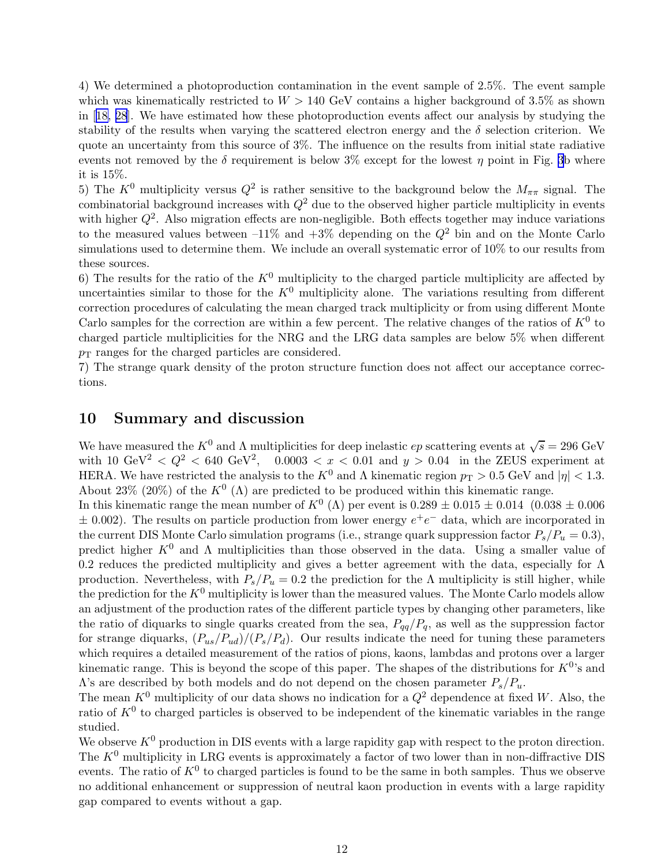4) We determined a photoproduction contamination in the event sample of 2.5%. The event sample which was kinematically restricted to  $W > 140$  GeV contains a higher background of 3.5% as shown in[[18, 28](#page-20-0)]. We have estimated how these photoproduction events affect our analysis by studying the stability of the results when varying the scattered electron energy and the  $\delta$  selection criterion. We quote an uncertainty from this source of 3%. The influence on the results from initial state radiative events not removed by the  $\delta$  requirement is below [3](#page-23-0)% except for the lowest  $\eta$  point in Fig. 3b where it is 15%.

5) The  $K^0$  multiplicity versus  $Q^2$  is rather sensitive to the background below the  $M_{\pi\pi}$  signal. The combinatorial background increases with  $Q<sup>2</sup>$  due to the observed higher particle multiplicity in events with higher  $Q^2$ . Also migration effects are non-negligible. Both effects together may induce variations to the measured values between  $-11\%$  and  $+3\%$  depending on the  $Q^2$  bin and on the Monte Carlo simulations used to determine them. We include an overall systematic error of 10% to our results from these sources.

6) The results for the ratio of the  $K^0$  multiplicity to the charged particle multiplicity are affected by uncertainties similar to those for the  $K^0$  multiplicity alone. The variations resulting from different correction procedures of calculating the mean charged track multiplicity or from using different Monte Carlo samples for the correction are within a few percent. The relative changes of the ratios of  $K^0$  to charged particle multiplicities for the NRG and the LRG data samples are below 5% when different  $p<sub>T</sub>$  ranges for the charged particles are considered.

7) The strange quark density of the proton structure function does not affect our acceptance corrections.

### 10 Summary and discussion

We have measured the  $K^0$  and  $\Lambda$  multiplicities for deep inelastic  $ep$  scattering events at  $\sqrt{s} = 296 \text{ GeV}$ with 10 GeV<sup>2</sup>  $\langle Q^2 \rangle$   $\langle 640 \text{ GeV}^2, 0.0003 \rangle \langle x \rangle$  and  $y > 0.04$  in the ZEUS experiment at HERA. We have restricted the analysis to the  $K^0$  and  $\Lambda$  kinematic region  $p_T > 0.5$  GeV and  $|\eta| < 1.3$ . About 23% (20%) of the  $K^0(\Lambda)$  are predicted to be produced within this kinematic range.

In this kinematic range the mean number of  $K^0$  ( $\Lambda$ ) per event is  $0.289 \pm 0.015 \pm 0.014$  ( $0.038 \pm 0.006$ )  $\pm$  0.002). The results on particle production from lower energy  $e^+e^-$  data, which are incorporated in the current DIS Monte Carlo simulation programs (i.e., strange quark suppression factor  $P_s/P_u = 0.3$ ), predict higher  $K^0$  and  $\Lambda$  multiplicities than those observed in the data. Using a smaller value of 0.2 reduces the predicted multiplicity and gives a better agreement with the data, especially for  $\Lambda$ production. Nevertheless, with  $P_s/P_u = 0.2$  the prediction for the  $\Lambda$  multiplicity is still higher, while the prediction for the  $K^0$  multiplicity is lower than the measured values. The Monte Carlo models allow an adjustment of the production rates of the different particle types by changing other parameters, like the ratio of diquarks to single quarks created from the sea,  $P_{qq}/P_q$ , as well as the suppression factor for strange diquarks,  $(P_{us}/P_{ud})/(P_s/P_d)$ . Our results indicate the need for tuning these parameters which requires a detailed measurement of the ratios of pions, kaons, lambdas and protons over a larger kinematic range. This is beyond the scope of this paper. The shapes of the distributions for  $K^{0}$ 's and  $\Lambda$ 's are described by both models and do not depend on the chosen parameter  $P_s/P_u$ .

The mean  $K^0$  multiplicity of our data shows no indication for a  $Q^2$  dependence at fixed W. Also, the ratio of  $K^0$  to charged particles is observed to be independent of the kinematic variables in the range studied.

We observe  $K^0$  production in DIS events with a large rapidity gap with respect to the proton direction. The  $K^0$  multiplicity in LRG events is approximately a factor of two lower than in non-diffractive DIS events. The ratio of  $K^0$  to charged particles is found to be the same in both samples. Thus we observe no additional enhancement or suppression of neutral kaon production in events with a large rapidity gap compared to events without a gap.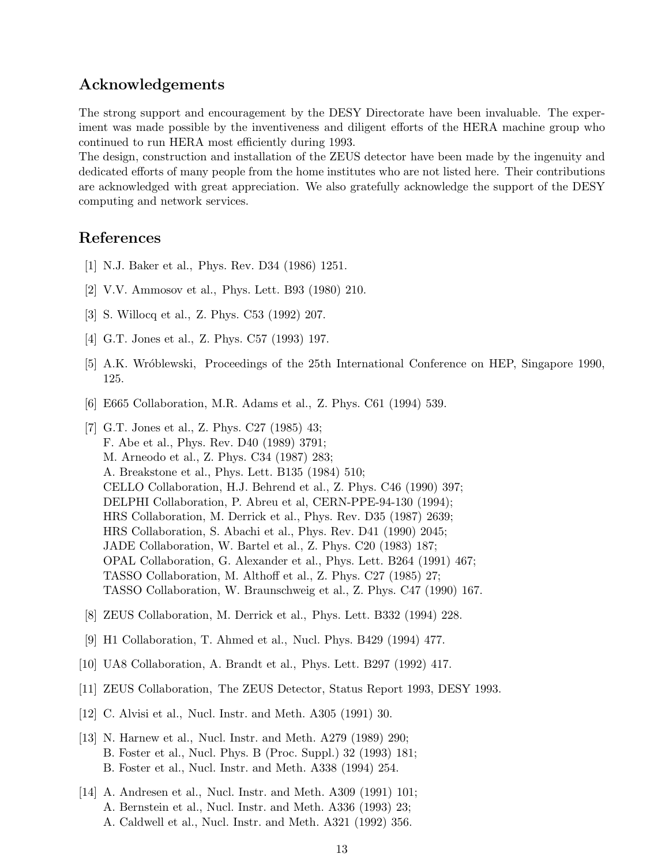## <span id="page-19-0"></span>Acknowledgements

The strong support and encouragement by the DESY Directorate have been invaluable. The experiment was made possible by the inventiveness and diligent efforts of the HERA machine group who continued to run HERA most efficiently during 1993.

The design, construction and installation of the ZEUS detector have been made by the ingenuity and dedicated efforts of many people from the home institutes who are not listed here. Their contributions are acknowledged with great appreciation. We also gratefully acknowledge the support of the DESY computing and network services.

## References

- [1] N.J. Baker et al., Phys. Rev. D34 (1986) 1251.
- [2] V.V. Ammosov et al., Phys. Lett. B93 (1980) 210.
- [3] S. Willocq et al., Z. Phys. C53 (1992) 207.
- [4] G.T. Jones et al., Z. Phys. C57 (1993) 197.
- [5] A.K. Wróblewski, Proceedings of the 25th International Conference on HEP, Singapore 1990, 125.
- [6] E665 Collaboration, M.R. Adams et al., Z. Phys. C61 (1994) 539.
- [7] G.T. Jones et al., Z. Phys. C27 (1985) 43; F. Abe et al., Phys. Rev. D40 (1989) 3791; M. Arneodo et al., Z. Phys. C34 (1987) 283; A. Breakstone et al., Phys. Lett. B135 (1984) 510; CELLO Collaboration, H.J. Behrend et al., Z. Phys. C46 (1990) 397; DELPHI Collaboration, P. Abreu et al, CERN-PPE-94-130 (1994); HRS Collaboration, M. Derrick et al., Phys. Rev. D35 (1987) 2639; HRS Collaboration, S. Abachi et al., Phys. Rev. D41 (1990) 2045; JADE Collaboration, W. Bartel et al., Z. Phys. C20 (1983) 187; OPAL Collaboration, G. Alexander et al., Phys. Lett. B264 (1991) 467; TASSO Collaboration, M. Althoff et al., Z. Phys. C27 (1985) 27; TASSO Collaboration, W. Braunschweig et al., Z. Phys. C47 (1990) 167.
- [8] ZEUS Collaboration, M. Derrick et al., Phys. Lett. B332 (1994) 228.
- [9] H1 Collaboration, T. Ahmed et al., Nucl. Phys. B429 (1994) 477.
- [10] UA8 Collaboration, A. Brandt et al., Phys. Lett. B297 (1992) 417.
- [11] ZEUS Collaboration, The ZEUS Detector, Status Report 1993, DESY 1993.
- [12] C. Alvisi et al., Nucl. Instr. and Meth. A305 (1991) 30.
- [13] N. Harnew et al., Nucl. Instr. and Meth. A279 (1989) 290; B. Foster et al., Nucl. Phys. B (Proc. Suppl.) 32 (1993) 181; B. Foster et al., Nucl. Instr. and Meth. A338 (1994) 254.
- [14] A. Andresen et al., Nucl. Instr. and Meth. A309 (1991) 101; A. Bernstein et al., Nucl. Instr. and Meth. A336 (1993) 23; A. Caldwell et al., Nucl. Instr. and Meth. A321 (1992) 356.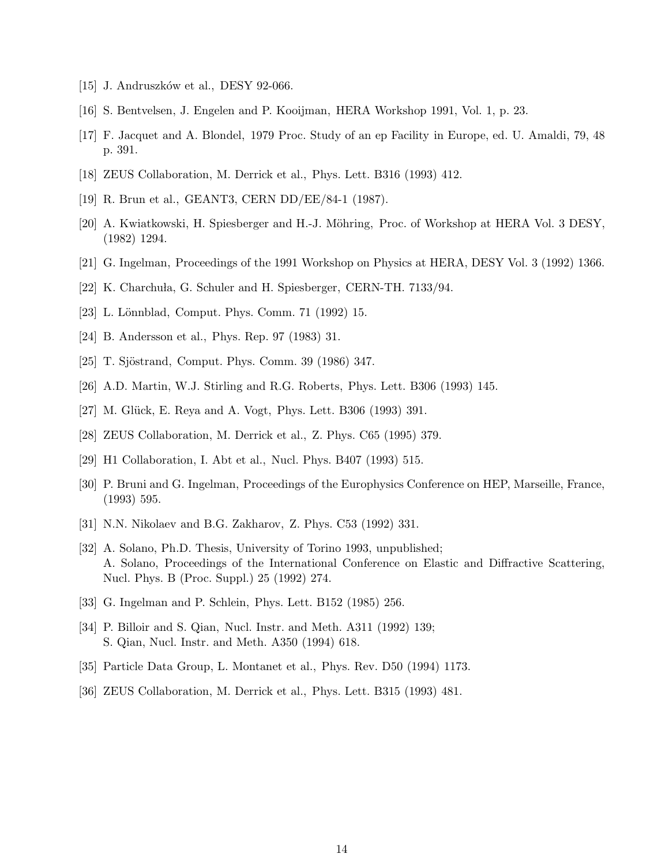- <span id="page-20-0"></span>[15] J. Andruszków et al., DESY 92-066.
- [16] S. Bentvelsen, J. Engelen and P. Kooijman, HERA Workshop 1991, Vol. 1, p. 23.
- [17] F. Jacquet and A. Blondel, 1979 Proc. Study of an ep Facility in Europe, ed. U. Amaldi, 79, 48 p. 391.
- [18] ZEUS Collaboration, M. Derrick et al., Phys. Lett. B316 (1993) 412.
- [19] R. Brun et al., GEANT3, CERN DD/EE/84-1 (1987).
- [20] A. Kwiatkowski, H. Spiesberger and H.-J. Möhring, Proc. of Workshop at HERA Vol. 3 DESY, (1982) 1294.
- [21] G. Ingelman, Proceedings of the 1991 Workshop on Physics at HERA, DESY Vol. 3 (1992) 1366.
- [22] K. Charchula, G. Schuler and H. Spiesberger, CERN-TH.  $7133/94$ .
- [23] L. Lönnblad, Comput. Phys. Comm. 71 (1992) 15.
- [24] B. Andersson et al., Phys. Rep. 97 (1983) 31.
- [25] T. Sjöstrand, Comput. Phys. Comm. 39 (1986) 347.
- [26] A.D. Martin, W.J. Stirling and R.G. Roberts, Phys. Lett. B306 (1993) 145.
- [27] M. Glück, E. Reya and A. Vogt, Phys. Lett. B306 (1993) 391.
- [28] ZEUS Collaboration, M. Derrick et al., Z. Phys. C65 (1995) 379.
- [29] H1 Collaboration, I. Abt et al., Nucl. Phys. B407 (1993) 515.
- [30] P. Bruni and G. Ingelman, Proceedings of the Europhysics Conference on HEP, Marseille, France, (1993) 595.
- [31] N.N. Nikolaev and B.G. Zakharov, Z. Phys. C53 (1992) 331.
- [32] A. Solano, Ph.D. Thesis, University of Torino 1993, unpublished; A. Solano, Proceedings of the International Conference on Elastic and Diffractive Scattering, Nucl. Phys. B (Proc. Suppl.) 25 (1992) 274.
- [33] G. Ingelman and P. Schlein, Phys. Lett. B152 (1985) 256.
- [34] P. Billoir and S. Qian, Nucl. Instr. and Meth. A311 (1992) 139; S. Qian, Nucl. Instr. and Meth. A350 (1994) 618.
- [35] Particle Data Group, L. Montanet et al., Phys. Rev. D50 (1994) 1173.
- [36] ZEUS Collaboration, M. Derrick et al., Phys. Lett. B315 (1993) 481.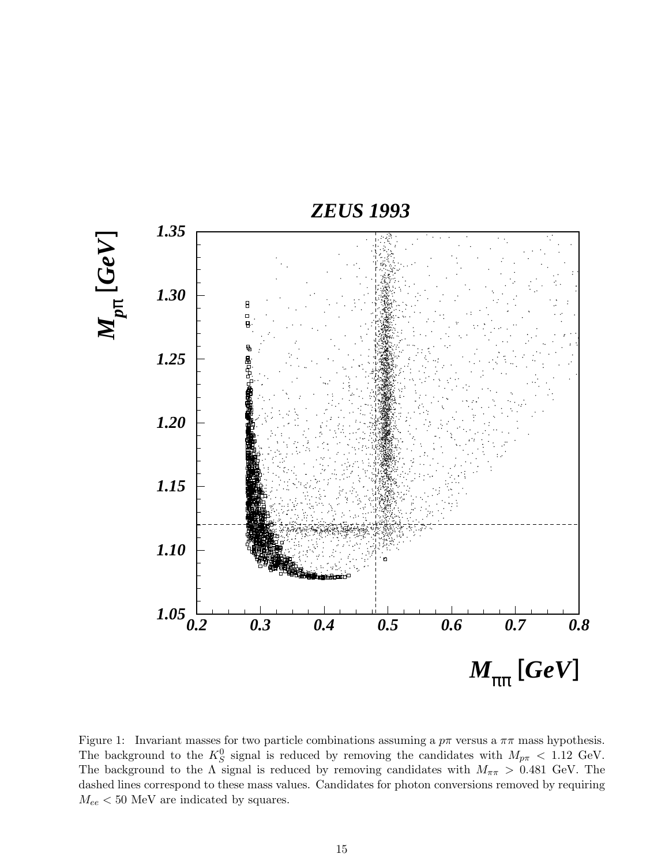<span id="page-21-0"></span>

Figure 1: Invariant masses for two particle combinations assuming a  $p\pi$  versus a  $\pi\pi$  mass hypothesis. The background to the  $K_S^0$  signal is reduced by removing the candidates with  $M_{p\pi}$  < 1.12 GeV. The background to the  $\Lambda$  signal is reduced by removing candidates with  $M_{\pi\pi} > 0.481$  GeV. The dashed lines correspond to these mass values. Candidates for photon conversions removed by requiring  $M_{ee}$  < 50 MeV are indicated by squares.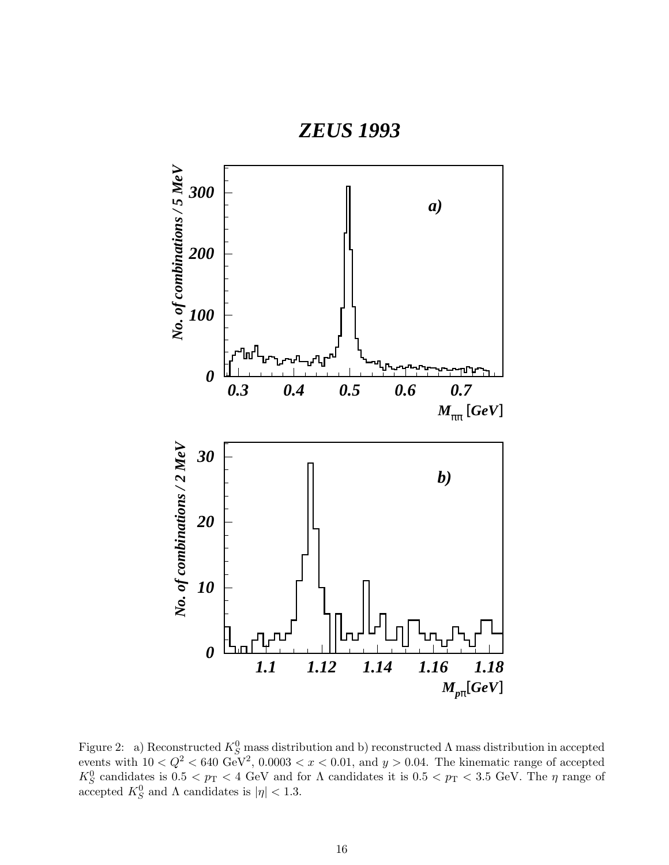

<span id="page-22-0"></span>

Figure 2: a) Reconstructed  $K_S^0$  mass distribution and b) reconstructed  $\Lambda$  mass distribution in accepted events with  $10 < Q^2 < 640 \text{ GeV}^2$ ,  $0.0003 < x < 0.01$ , and  $y > 0.04$ . The kinematic range of accepted  $K_S^0$  candidates is  $0.5 < p_T < 4$  GeV and for  $\Lambda$  candidates it is  $0.5 < p_T < 3.5$  GeV. The  $\eta$  range of accepted  $K_S^0$  and  $\Lambda$  candidates is  $|\eta| < 1.3$ .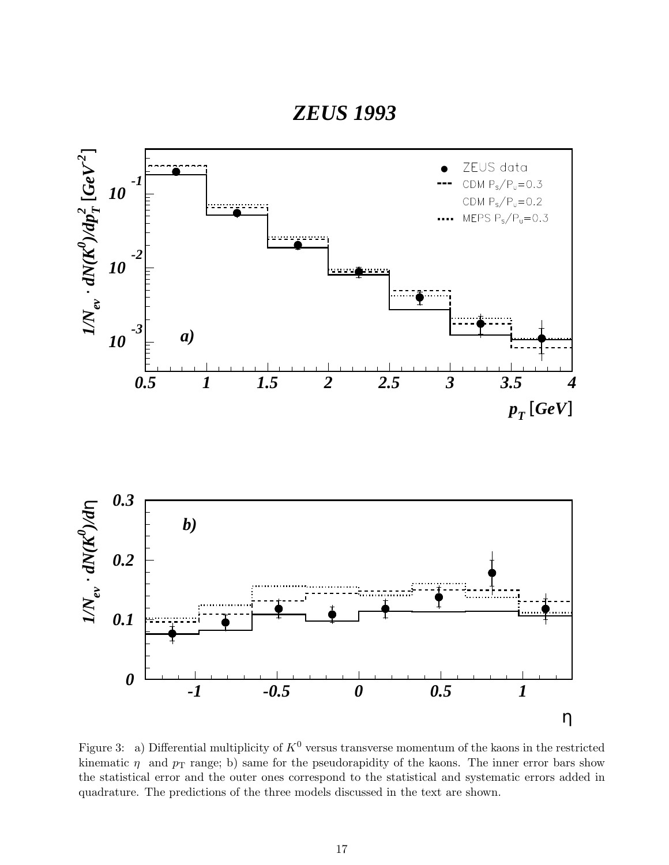*ZEUS 1993*

<span id="page-23-0"></span>



Figure 3: a) Differential multiplicity of  $K^0$  versus transverse momentum of the kaons in the restricted kinematic  $\eta$  and  $p_T$  range; b) same for the pseudorapidity of the kaons. The inner error bars show the statistical error and the outer ones correspond to the statistical and systematic errors added in quadrature. The predictions of the three models discussed in the text are shown.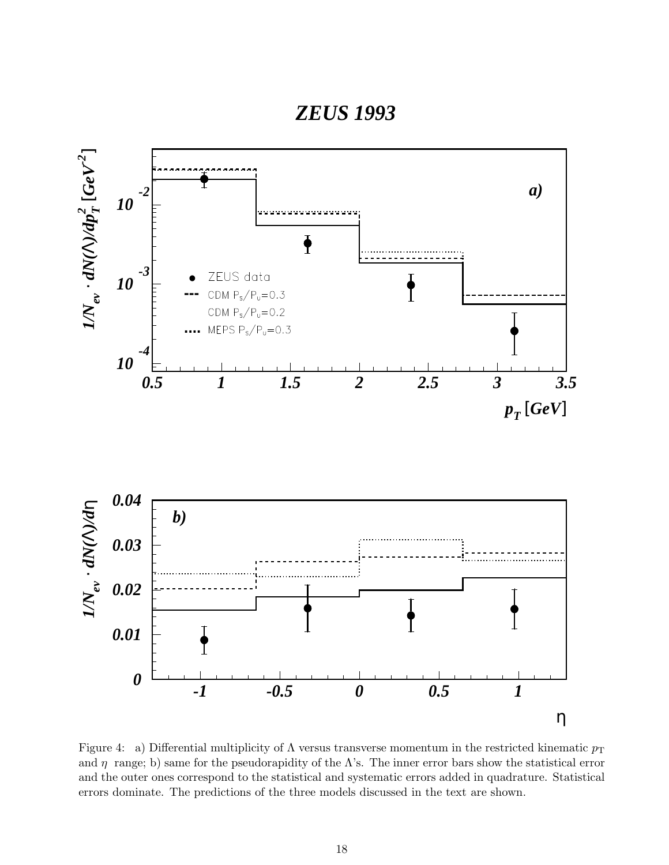*ZEUS 1993*

<span id="page-24-0"></span>

Figure 4: a) Differential multiplicity of  $\Lambda$  versus transverse momentum in the restricted kinematic  $p_T$ and  $\eta$  range; b) same for the pseudorapidity of the  $\Lambda$ 's. The inner error bars show the statistical error and the outer ones correspond to the statistical and systematic errors added in quadrature. Statistical errors dominate. The predictions of the three models discussed in the text are shown.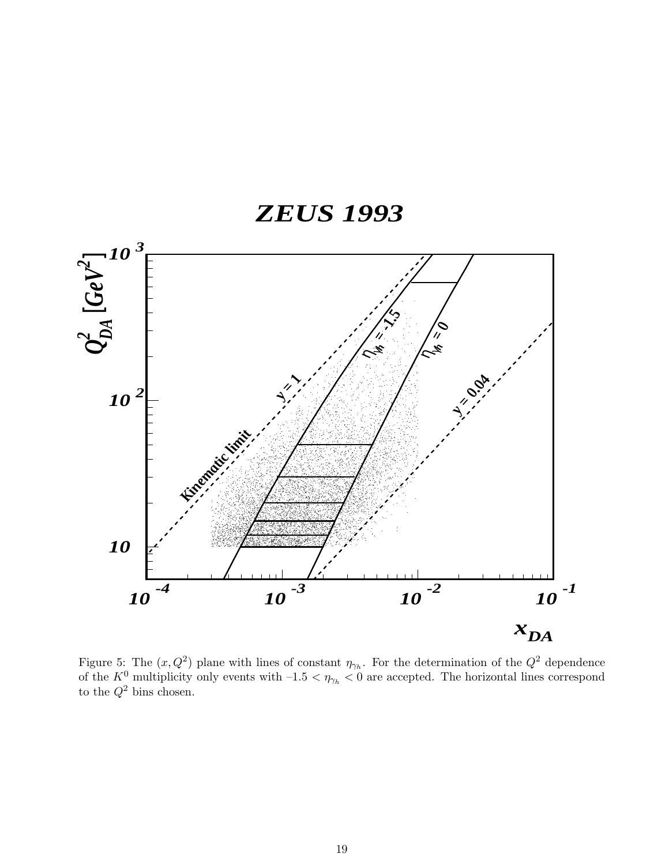# *ZEUS 1993*

<span id="page-25-0"></span>

Figure 5: The  $(x, Q^2)$  plane with lines of constant  $\eta_{\gamma_h}$ . For the determination of the  $Q^2$  dependence of the  $K^0$  multiplicity only events with  $-1.5 < \eta_{\gamma_h} < 0$  are accepted. The horizontal lines correspond to the  $Q^2$  bins chosen.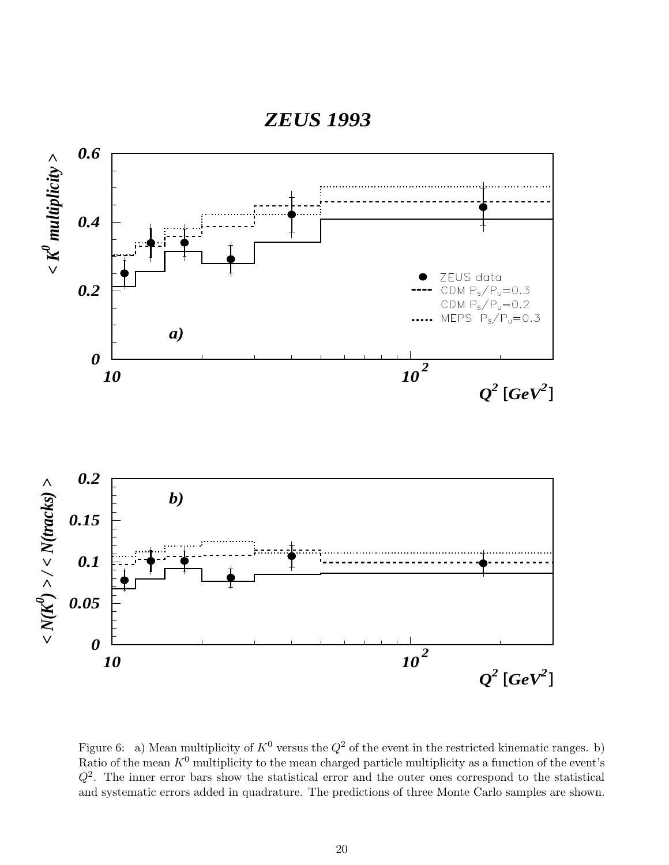*ZEUS 1993*

<span id="page-26-0"></span>

Figure 6: a) Mean multiplicity of  $K^0$  versus the  $Q^2$  of the event in the restricted kinematic ranges. b) Ratio of the mean  $K^0$  multiplicity to the mean charged particle multiplicity as a function of the event's  $Q^2$ . The inner error bars show the statistical error and the outer ones correspond to the statistical and systematic errors added in quadrature. The predictions of three Monte Carlo samples are shown.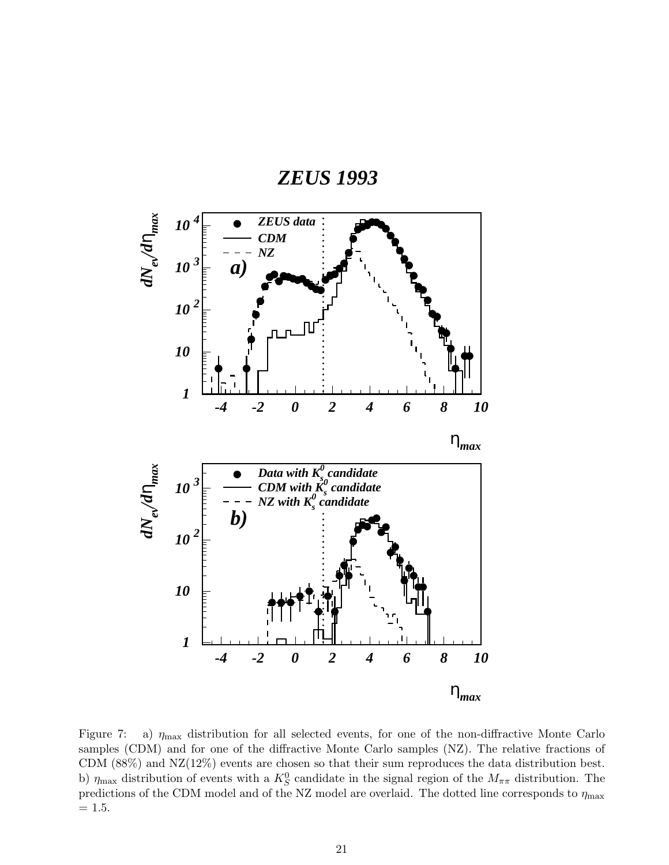<span id="page-27-0"></span>

Figure 7: a)  $\eta_{\text{max}}$  distribution for all selected events, for one of the non-diffractive Monte Carlo samples (CDM) and for one of the diffractive Monte Carlo samples (NZ). The relative fractions of CDM (88%) and NZ(12%) events are chosen so that their sum reproduces the data distribution best. b)  $\eta_{\text{max}}$  distribution of events with a  $K_S^0$  candidate in the signal region of the  $M_{\pi\pi}$  distribution. The predictions of the CDM model and of the NZ model are overlaid. The dotted line corresponds to  $\eta_{\text{max}}$  $= 1.5.$